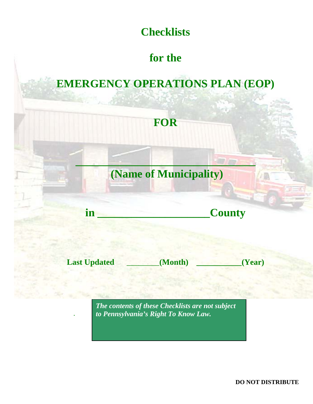

# **for the**

# **EMERGENCY OPERATIONS PLAN (EOP)**



**Last Updated \_\_\_\_\_\_\_\_(Month) \_\_\_\_\_\_\_\_\_\_\_(Year)**

*The contents of these Checklists are not subject to Pennsylvania's Right To Know Law.*

*.*

**DO NOT DISTRIBUTE**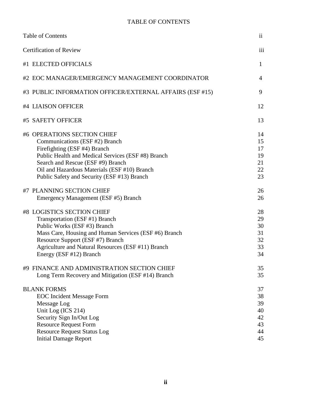### TABLE OF CONTENTS

| <b>Table of Contents</b>                                                                                                                                                                                                                                                                | $\overline{11}$                              |
|-----------------------------------------------------------------------------------------------------------------------------------------------------------------------------------------------------------------------------------------------------------------------------------------|----------------------------------------------|
| <b>Certification of Review</b>                                                                                                                                                                                                                                                          | iii                                          |
| #1 ELECTED OFFICIALS                                                                                                                                                                                                                                                                    | $\mathbf{1}$                                 |
| #2 EOC MANAGER/EMERGENCY MANAGEMENT COORDINATOR                                                                                                                                                                                                                                         | $\overline{4}$                               |
| #3 PUBLIC INFORMATION OFFICER/EXTERNAL AFFAIRS (ESF #15)                                                                                                                                                                                                                                | 9                                            |
| #4 LIAISON OFFICER                                                                                                                                                                                                                                                                      | 12                                           |
| #5 SAFETY OFFICER                                                                                                                                                                                                                                                                       | 13                                           |
| #6 OPERATIONS SECTION CHIEF<br>Communications (ESF #2) Branch<br>Firefighting (ESF #4) Branch<br>Public Health and Medical Services (ESF #8) Branch<br>Search and Rescue (ESF #9) Branch<br>Oil and Hazardous Materials (ESF #10) Branch<br>Public Safety and Security (ESF #13) Branch | 14<br>15<br>17<br>19<br>21<br>22<br>23       |
| #7 PLANNING SECTION CHIEF<br>Emergency Management (ESF #5) Branch                                                                                                                                                                                                                       | 26<br>26                                     |
| #8 LOGISTICS SECTION CHIEF<br>Transportation (ESF #1) Branch<br>Public Works (ESF #3) Branch<br>Mass Care, Housing and Human Services (ESF #6) Branch<br>Resource Support (ESF #7) Branch<br>Agriculture and Natural Resources (ESF #11) Branch<br>Energy (ESF #12) Branch              | 28<br>29<br>30<br>31<br>32<br>33<br>34       |
| #9 FINANCE AND ADMINISTRATION SECTION CHIEF<br>Long Term Recovery and Mitigation (ESF #14) Branch                                                                                                                                                                                       | 35<br>35                                     |
| <b>BLANK FORMS</b><br><b>EOC</b> Incident Message Form<br>Message Log<br>Unit Log (ICS 214)<br>Security Sign In/Out Log<br><b>Resource Request Form</b><br><b>Resource Request Status Log</b><br><b>Initial Damage Report</b>                                                           | 37<br>38<br>39<br>40<br>42<br>43<br>44<br>45 |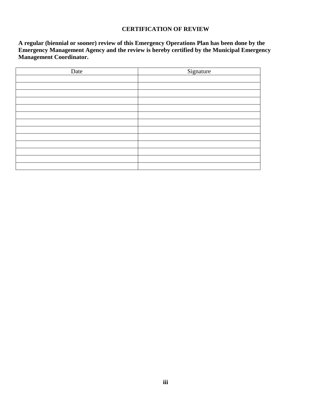#### **CERTIFICATION OF REVIEW**

**A regular (biennial or sooner) review of this Emergency Operations Plan has been done by the Emergency Management Agency and the review is hereby certified by the Municipal Emergency Management Coordinator.** 

| Date | Signature |
|------|-----------|
|      |           |
|      |           |
|      |           |
|      |           |
|      |           |
|      |           |
|      |           |
|      |           |
|      |           |
|      |           |
|      |           |
|      |           |
|      |           |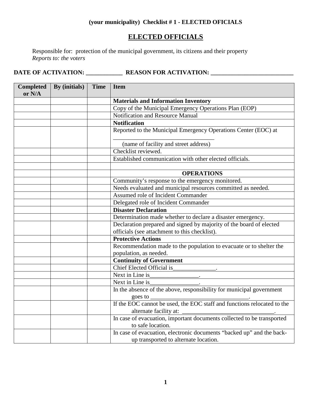### **(your municipality) Checklist # 1 - ELECTED OFICIALS**

## **ELECTED OFFICIALS**

Responsible for: protection of the municipal government, its citizens and their property *Reports to: the voters*

| <b>Completed</b><br>or N/A | By (initials) | <b>Time</b> | <b>Item</b>                                                            |
|----------------------------|---------------|-------------|------------------------------------------------------------------------|
|                            |               |             | <b>Materials and Information Inventory</b>                             |
|                            |               |             | Copy of the Municipal Emergency Operations Plan (EOP)                  |
|                            |               |             | Notification and Resource Manual                                       |
|                            |               |             | <b>Notification</b>                                                    |
|                            |               |             | Reported to the Municipal Emergency Operations Center (EOC) at         |
|                            |               |             | (name of facility and street address)                                  |
|                            |               |             | Checklist reviewed.                                                    |
|                            |               |             | Established communication with other elected officials.                |
|                            |               |             |                                                                        |
|                            |               |             | <b>OPERATIONS</b>                                                      |
|                            |               |             | Community's response to the emergency monitored.                       |
|                            |               |             | Needs evaluated and municipal resources committed as needed.           |
|                            |               |             | Assumed role of Incident Commander                                     |
|                            |               |             | Delegated role of Incident Commander                                   |
|                            |               |             | <b>Disaster Declaration</b>                                            |
|                            |               |             | Determination made whether to declare a disaster emergency.            |
|                            |               |             | Declaration prepared and signed by majority of the board of elected    |
|                            |               |             | officials (see attachment to this checklist).                          |
|                            |               |             | <b>Protective Actions</b>                                              |
|                            |               |             | Recommendation made to the population to evacuate or to shelter the    |
|                            |               |             | population, as needed.                                                 |
|                            |               |             | <b>Continuity of Government</b>                                        |
|                            |               |             | Chief Elected Official is                                              |
|                            |               |             | Next in Line is                                                        |
|                            |               |             | Next in Line is                                                        |
|                            |               |             | In the absence of the above, responsibility for municipal government   |
|                            |               |             | goes to $\overline{\phantom{a}}$                                       |
|                            |               |             | alternate facility at:                                                 |
|                            |               |             | In case of evacuation, important documents collected to be transported |
|                            |               |             | to safe location.                                                      |
|                            |               |             | In case of evacuation, electronic documents "backed up" and the back-  |
|                            |               |             | up transported to alternate location.                                  |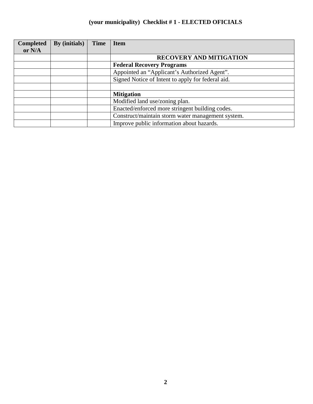## **(your municipality) Checklist # 1 - ELECTED OFICIALS**

| <b>Completed</b> | By (initials) | <b>Time</b> | <b>Item</b>                                       |
|------------------|---------------|-------------|---------------------------------------------------|
| or N/A           |               |             |                                                   |
|                  |               |             | <b>RECOVERY AND MITIGATION</b>                    |
|                  |               |             | <b>Federal Recovery Programs</b>                  |
|                  |               |             | Appointed an "Applicant's Authorized Agent".      |
|                  |               |             | Signed Notice of Intent to apply for federal aid. |
|                  |               |             |                                                   |
|                  |               |             | <b>Mitigation</b>                                 |
|                  |               |             | Modified land use/zoning plan.                    |
|                  |               |             | Enacted/enforced more stringent building codes.   |
|                  |               |             | Construct/maintain storm water management system. |
|                  |               |             | Improve public information about hazards.         |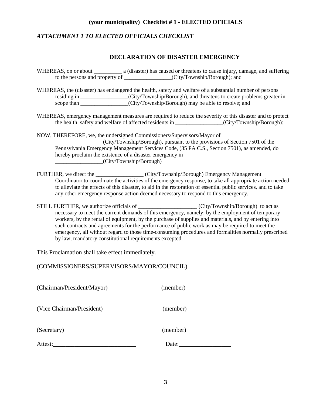### **(your municipality) Checklist # 1 - ELECTED OFICIALS**

### *ATTACHMENT 1 TO ELECTED OFFICIALS CHECKLIST*

### **DECLARATION OF DISASTER EMERGENCY**

|                                                                                     | to the persons and property of ________________(City/Township/Borough); and                                                                                                |                                                                                                                                                                                                                                                                                                           |
|-------------------------------------------------------------------------------------|----------------------------------------------------------------------------------------------------------------------------------------------------------------------------|-----------------------------------------------------------------------------------------------------------------------------------------------------------------------------------------------------------------------------------------------------------------------------------------------------------|
|                                                                                     | scope than ________________(City/Township/Borough) may be able to resolve; and                                                                                             | WHEREAS, the (disaster) has endangered the health, safety and welfare of a substantial number of persons<br>residing in ________________(City/Township/Borough), and threatens to create problems greater in                                                                                              |
|                                                                                     |                                                                                                                                                                            | WHEREAS, emergency management measures are required to reduce the severity of this disaster and to protect                                                                                                                                                                                                |
|                                                                                     |                                                                                                                                                                            | the health, safety and welfare of affected residents in _______________(City/Township/Borough):                                                                                                                                                                                                           |
| hereby proclaim the existence of a disaster emergency in<br>(City/Township/Borough) | NOW, THEREFORE, we, the undersigned Commissioners/Supervisors/Mayor of                                                                                                     | (City/Township/Borough), pursuant to the provisions of Section 7501 of the<br>Pennsylvania Emergency Management Services Code, (35 PA C.S., Section 7501), as amended, do                                                                                                                                 |
|                                                                                     | FURTHER, we direct the _________________(City/Township/Borough) Emergency Management<br>any other emergency response action deemed necessary to respond to this emergency. | Coordinator to coordinate the activities of the emergency response, to take all appropriate action needed<br>to alleviate the effects of this disaster, to aid in the restoration of essential public services, and to take                                                                               |
|                                                                                     |                                                                                                                                                                            | STILL FURTHER, we authorize officials of ____________________(City/Township/Borough) to act as<br>necessary to meet the current demands of this emergency, namely: by the employment of temporary<br>workers, by the rental of equipment, by the purchase of supplies and materials, and by entering into |

workers, by the rental of equipment, by the purchase of supplies and materials, and by entering into such contracts and agreements for the performance of public work as may be required to meet the emergency, all without regard to those time-consuming procedures and formalities normally prescribed by law, mandatory constitutional requirements excepted.

This Proclamation shall take effect immediately.

(COMMISSIONERS/SUPERVISORS/MAYOR/COUNCIL)

| (Chairman/President/Mayor) | (member) |  |
|----------------------------|----------|--|
| (Vice Chairman/President)  | (member) |  |
| (Secretary)                | (member) |  |
| Attest:                    | Date:    |  |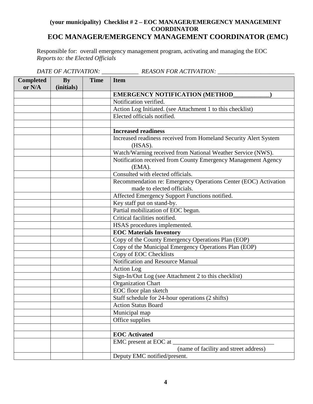### **(your municipality) Checklist # 2 – EOC MANAGER/EMERGENCY MANAGEMENT COORDINATOR EOC MANAGER/EMERGENCY MANAGEMENT COORDINATOR (EMC)**

Responsible for: overall emergency management program, activating and managing the EOC *Reports to: the Elected Officials*

|                            |                             |      | DATE OF ACTIVATION: ______________________ REASON FOR ACTIVATION: ______                      |
|----------------------------|-----------------------------|------|-----------------------------------------------------------------------------------------------|
| <b>Completed</b><br>or N/A | $\mathbf{By}$<br>(initials) | Time | <b>Item</b>                                                                                   |
|                            |                             |      | <b>EMERGENCY NOTIFICATION (METHOD)</b>                                                        |
|                            |                             |      | Notification verified.                                                                        |
|                            |                             |      | Action Log Initiated. (see Attachment 1 to this checklist)                                    |
|                            |                             |      | Elected officials notified.                                                                   |
|                            |                             |      |                                                                                               |
|                            |                             |      | <b>Increased readiness</b>                                                                    |
|                            |                             |      | Increased readiness received from Homeland Security Alert System<br>(HSAS).                   |
|                            |                             |      | Watch/Warning received from National Weather Service (NWS).                                   |
|                            |                             |      | Notification received from County Emergency Management Agency<br>(EMA).                       |
|                            |                             |      | Consulted with elected officials.                                                             |
|                            |                             |      | Recommendation re: Emergency Operations Center (EOC) Activation<br>made to elected officials. |
|                            |                             |      | Affected Emergency Support Functions notified.                                                |
|                            |                             |      | Key staff put on stand-by.                                                                    |
|                            |                             |      | Partial mobilization of EOC begun.                                                            |
|                            |                             |      | Critical facilities notified.                                                                 |
|                            |                             |      | HSAS procedures implemented.                                                                  |
|                            |                             |      | <b>EOC Materials Inventory</b>                                                                |
|                            |                             |      | Copy of the County Emergency Operations Plan (EOP)                                            |
|                            |                             |      | Copy of the Municipal Emergency Operations Plan (EOP)                                         |
|                            |                             |      | Copy of EOC Checklists                                                                        |
|                            |                             |      | Notification and Resource Manual                                                              |
|                            |                             |      | Action Log                                                                                    |
|                            |                             |      | Sign-In/Out Log (see Attachment 2 to this checklist)                                          |
|                            |                             |      | <b>Organization Chart</b>                                                                     |
|                            |                             |      | EOC floor plan sketch                                                                         |
|                            |                             |      | Staff schedule for 24-hour operations (2 shifts)                                              |
|                            |                             |      | <b>Action Status Board</b>                                                                    |
|                            |                             |      | Municipal map                                                                                 |
|                            |                             |      | Office supplies                                                                               |
|                            |                             |      |                                                                                               |
|                            |                             |      | <b>EOC</b> Activated                                                                          |
|                            |                             |      | EMC present at EOC at                                                                         |
|                            |                             |      | (name of facility and street address)                                                         |
|                            |                             |      | Deputy EMC notified/present.                                                                  |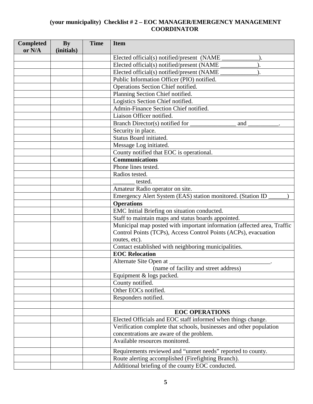| <b>Completed</b><br>or N/A | <b>By</b><br>(initials) | <b>Time</b> | <b>Item</b>                                                             |
|----------------------------|-------------------------|-------------|-------------------------------------------------------------------------|
|                            |                         |             | Elected official(s) notified/present (NAME                              |
|                            |                         |             | Elected official(s) notified/present (NAME                              |
|                            |                         |             | Elected official(s) notified/present (NAME                              |
|                            |                         |             | Public Information Officer (PIO) notified.                              |
|                            |                         |             | Operations Section Chief notified.                                      |
|                            |                         |             | Planning Section Chief notified.                                        |
|                            |                         |             | Logistics Section Chief notified.                                       |
|                            |                         |             | Admin-Finance Section Chief notified.                                   |
|                            |                         |             | Liaison Officer notified.                                               |
|                            |                         |             | Branch Director(s) notified for<br>and                                  |
|                            |                         |             | Security in place.                                                      |
|                            |                         |             | Status Board initiated.                                                 |
|                            |                         |             | Message Log initiated.                                                  |
|                            |                         |             | County notified that EOC is operational.                                |
|                            |                         |             | <b>Communications</b>                                                   |
|                            |                         |             | Phone lines tested.                                                     |
|                            |                         |             | Radios tested.                                                          |
|                            |                         |             | tested.                                                                 |
|                            |                         |             | Amateur Radio operator on site.                                         |
|                            |                         |             | Emergency Alert System (EAS) station monitored. (Station ID             |
|                            |                         |             | <b>Operations</b>                                                       |
|                            |                         |             | EMC Initial Briefing on situation conducted.                            |
|                            |                         |             | Staff to maintain maps and status boards appointed.                     |
|                            |                         |             | Municipal map posted with important information (affected area, Traffic |
|                            |                         |             | Control Points (TCPs), Access Control Points (ACPs), evacuation         |
|                            |                         |             | routes, etc).                                                           |
|                            |                         |             | Contact established with neighboring municipalities.                    |
|                            |                         |             | <b>EOC Relocation</b>                                                   |
|                            |                         |             | Alternate Site Open at                                                  |
|                            |                         |             | (name of facility and street address)                                   |
|                            |                         |             | Equipment & logs packed.                                                |
|                            |                         |             | County notified.                                                        |
|                            |                         |             | Other EOCs notified.                                                    |
|                            |                         |             | Responders notified.                                                    |
|                            |                         |             |                                                                         |
|                            |                         |             | <b>EOC OPERATIONS</b>                                                   |
|                            |                         |             | Elected Officials and EOC staff informed when things change.            |
|                            |                         |             | Verification complete that schools, businesses and other population     |
|                            |                         |             | concentrations are aware of the problem.                                |
|                            |                         |             | Available resources monitored.                                          |
|                            |                         |             | Requirements reviewed and "unmet needs" reported to county.             |
|                            |                         |             | Route alerting accomplished (Firefighting Branch).                      |
|                            |                         |             | Additional briefing of the county EOC conducted.                        |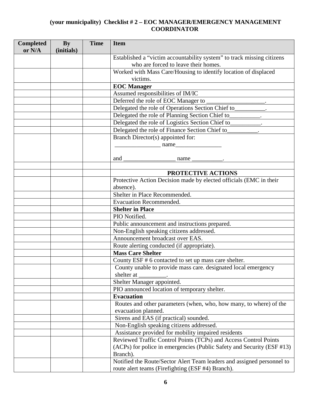| <b>Completed</b><br>or N/A | $\mathbf{By}$<br>(initials) | <b>Time</b> | <b>Item</b>                                                                                                    |
|----------------------------|-----------------------------|-------------|----------------------------------------------------------------------------------------------------------------|
|                            |                             |             | Established a "victim accountability system" to track missing citizens<br>who are forced to leave their homes. |
|                            |                             |             | Worked with Mass Care/Housing to identify location of displaced                                                |
|                            |                             |             | victims.                                                                                                       |
|                            |                             |             | <b>EOC</b> Manager                                                                                             |
|                            |                             |             | Assumed responsibilities of IM/IC                                                                              |
|                            |                             |             | Deferred the role of EOC Manager to                                                                            |
|                            |                             |             | Delegated the role of Operations Section Chief to_                                                             |
|                            |                             |             | Delegated the role of Planning Section Chief to_                                                               |
|                            |                             |             | Delegated the role of Logistics Section Chief to_________                                                      |
|                            |                             |             | Delegated the role of Finance Section Chief to_________.                                                       |
|                            |                             |             | Branch Director(s) appointed for:                                                                              |
|                            |                             |             | $\frac{1}{2}$ mame                                                                                             |
|                            |                             |             |                                                                                                                |
|                            |                             |             | and $\overline{\phantom{0}}$<br>$\frac{1}{2}$ name                                                             |
|                            |                             |             |                                                                                                                |
|                            |                             |             | PROTECTIVE ACTIONS                                                                                             |
|                            |                             |             | Protective Action Decision made by elected officials (EMC in their                                             |
|                            |                             |             | absence).                                                                                                      |
|                            |                             |             | Shelter in Place Recommended.                                                                                  |
|                            |                             |             | <b>Evacuation Recommended.</b>                                                                                 |
|                            |                             |             | <b>Shelter in Place</b>                                                                                        |
|                            |                             |             | PIO Notified.                                                                                                  |
|                            |                             |             | Public announcement and instructions prepared.                                                                 |
|                            |                             |             | Non-English speaking citizens addressed.                                                                       |
|                            |                             |             | Announcement broadcast over EAS.                                                                               |
|                            |                             |             | Route alerting conducted (if appropriate).                                                                     |
|                            |                             |             | <b>Mass Care Shelter</b>                                                                                       |
|                            |                             |             | County ESF # 6 contacted to set up mass care shelter.                                                          |
|                            |                             |             | County unable to provide mass care. designated local emergency                                                 |
|                            |                             |             | shelter at ___________.                                                                                        |
|                            |                             |             | Shelter Manager appointed.                                                                                     |
|                            |                             |             | PIO announced location of temporary shelter.                                                                   |
|                            |                             |             | <b>Evacuation</b>                                                                                              |
|                            |                             |             | Routes and other parameters (when, who, how many, to where) of the                                             |
|                            |                             |             | evacuation planned.                                                                                            |
|                            |                             |             | Sirens and EAS (if practical) sounded.                                                                         |
|                            |                             |             | Non-English speaking citizens addressed.                                                                       |
|                            |                             |             | Assistance provided for mobility impaired residents                                                            |
|                            |                             |             | Reviewed Traffic Control Points (TCPs) and Access Control Points                                               |
|                            |                             |             | (ACPs) for police in emergencies (Public Safety and Security (ESF #13)                                         |
|                            |                             |             | Branch).                                                                                                       |
|                            |                             |             | Notified the Route/Sector Alert Team leaders and assigned personnel to                                         |
|                            |                             |             | route alert teams (Firefighting (ESF #4) Branch).                                                              |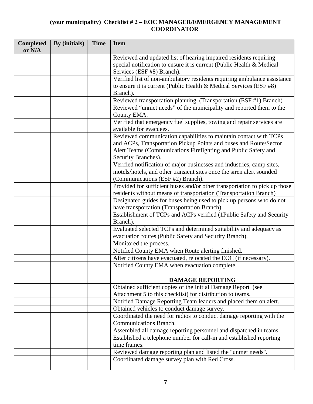| <b>Completed</b><br>or N/A | By (initials) | <b>Time</b> | <b>Item</b>                                                                                                                                                              |
|----------------------------|---------------|-------------|--------------------------------------------------------------------------------------------------------------------------------------------------------------------------|
|                            |               |             | Reviewed and updated list of hearing impaired residents requiring<br>special notification to ensure it is current (Public Health & Medical<br>Services (ESF #8) Branch). |
|                            |               |             | Verified list of non-ambulatory residents requiring ambulance assistance                                                                                                 |
|                            |               |             | to ensure it is current (Public Health & Medical Services (ESF #8)<br>Branch).                                                                                           |
|                            |               |             | Reviewed transportation planning. (Transportation (ESF #1) Branch)                                                                                                       |
|                            |               |             | Reviewed "unmet needs" of the municipality and reported them to the                                                                                                      |
|                            |               |             | County EMA.                                                                                                                                                              |
|                            |               |             | Verified that emergency fuel supplies, towing and repair services are<br>available for evacuees.                                                                         |
|                            |               |             | Reviewed communication capabilities to maintain contact with TCPs                                                                                                        |
|                            |               |             | and ACPs, Transportation Pickup Points and buses and Route/Sector<br>Alert Teams (Communications Firefighting and Public Safety and<br>Security Branches).               |
|                            |               |             | Verified notification of major businesses and industries, camp sites,                                                                                                    |
|                            |               |             | motels/hotels, and other transient sites once the siren alert sounded<br>(Communications (ESF #2) Branch).                                                               |
|                            |               |             | Provided for sufficient buses and/or other transportation to pick up those                                                                                               |
|                            |               |             | residents without means of transportation (Transportation Branch)                                                                                                        |
|                            |               |             | Designated guides for buses being used to pick up persons who do not                                                                                                     |
|                            |               |             | have transportation (Transportation Branch)                                                                                                                              |
|                            |               |             | Establishment of TCPs and ACPs verified (1Public Safety and Security                                                                                                     |
|                            |               |             | Branch).                                                                                                                                                                 |
|                            |               |             | Evaluated selected TCPs and determined suitability and adequacy as                                                                                                       |
|                            |               |             | evacuation routes (Public Safety and Security Branch).                                                                                                                   |
|                            |               |             | Monitored the process.                                                                                                                                                   |
|                            |               |             | Notified County EMA when Route alerting finished.                                                                                                                        |
|                            |               |             | After citizens have evacuated, relocated the EOC (if necessary).                                                                                                         |
|                            |               |             | Notified County EMA when evacuation complete.                                                                                                                            |
|                            |               |             |                                                                                                                                                                          |
|                            |               |             | <b>DAMAGE REPORTING</b>                                                                                                                                                  |
|                            |               |             | Obtained sufficient copies of the Initial Damage Report (see                                                                                                             |
|                            |               |             | Attachment 5 to this checklist) for distribution to teams.                                                                                                               |
|                            |               |             | Notified Damage Reporting Team leaders and placed them on alert.                                                                                                         |
|                            |               |             | Obtained vehicles to conduct damage survey.                                                                                                                              |
|                            |               |             | Coordinated the need for radios to conduct damage reporting with the                                                                                                     |
|                            |               |             | <b>Communications Branch.</b>                                                                                                                                            |
|                            |               |             | Assembled all damage reporting personnel and dispatched in teams.                                                                                                        |
|                            |               |             | Established a telephone number for call-in and established reporting                                                                                                     |
|                            |               |             | time frames.                                                                                                                                                             |
|                            |               |             | Reviewed damage reporting plan and listed the "unmet needs".                                                                                                             |
|                            |               |             | Coordinated damage survey plan with Red Cross.                                                                                                                           |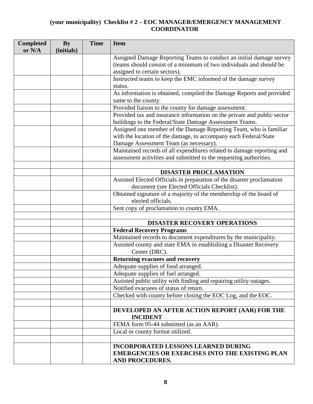| <b>Completed</b><br>or N/A | <b>By</b><br>(initials) | <b>Time</b> | <b>Item</b>                                                                                                                        |
|----------------------------|-------------------------|-------------|------------------------------------------------------------------------------------------------------------------------------------|
|                            |                         |             | Assigned Damage Reporting Teams to conduct an initial damage survey                                                                |
|                            |                         |             | (teams should consist of a minimum of two individuals and should be                                                                |
|                            |                         |             | assigned to certain sectors).                                                                                                      |
|                            |                         |             | Instructed teams to keep the EMC informed of the damage survey                                                                     |
|                            |                         |             | status.                                                                                                                            |
|                            |                         |             | As information is obtained, compiled the Damage Reports and provided                                                               |
|                            |                         |             | same to the county.                                                                                                                |
|                            |                         |             | Provided liaison to the county for damage assessment.                                                                              |
|                            |                         |             | Provided tax and insurance information on the private and public sector<br>buildings to the Federal/State Damage Assessment Teams. |
|                            |                         |             | Assigned one member of the Damage Reporting Team, who is familiar                                                                  |
|                            |                         |             | with the location of the damage, to accompany each Federal/State                                                                   |
|                            |                         |             | Damage Assessment Team (as necessary).                                                                                             |
|                            |                         |             | Maintained records of all expenditures related to damage reporting and                                                             |
|                            |                         |             | assessment activities and submitted to the requesting authorities.                                                                 |
|                            |                         |             |                                                                                                                                    |
|                            |                         |             | <b>DISASTER PROCLAMATION</b>                                                                                                       |
|                            |                         |             | Assisted Elected Officials in preparation of the disaster proclamation                                                             |
|                            |                         |             | document (see Elected Officials Checklist).                                                                                        |
|                            |                         |             | Obtained signature of a majority of the membership of the board of                                                                 |
|                            |                         |             | elected officials.                                                                                                                 |
|                            |                         |             | Sent copy of proclamation to county EMA.                                                                                           |
|                            |                         |             | DISASTER RECOVERY OPERATIONS                                                                                                       |
|                            |                         |             | <b>Federal Recovery Programs</b>                                                                                                   |
|                            |                         |             | Maintained records to document expenditures by the municipality.                                                                   |
|                            |                         |             | Assisted county and state EMA in establishing a Disaster Recovery<br>Center (DRC).                                                 |
|                            |                         |             | Returning evacuees and recovery                                                                                                    |
|                            |                         |             | Adequate supplies of food arranged.                                                                                                |
|                            |                         |             | Adequate supplies of fuel arranged.                                                                                                |
|                            |                         |             | Assisted public utility with finding and repairing utility outages.                                                                |
|                            |                         |             | Notified evacuees of status of return.                                                                                             |
|                            |                         |             | Checked with county before closing the EOC Log, and the EOC.                                                                       |
|                            |                         |             |                                                                                                                                    |
|                            |                         |             | DEVELOPED AN AFTER ACTION REPORT (AAR) FOR THE<br><b>INCIDENT</b>                                                                  |
|                            |                         |             | FEMA form 95-44 submitted (as an AAR).                                                                                             |
|                            |                         |             | Local or county format utilized.                                                                                                   |
|                            |                         |             |                                                                                                                                    |
|                            |                         |             | <b>INCORPORATED LESSONS LEARNED DURING</b><br><b>EMERGENCIES OR EXERCISES INTO THE EXISTING PLAN</b><br>AND PROCEDURES.            |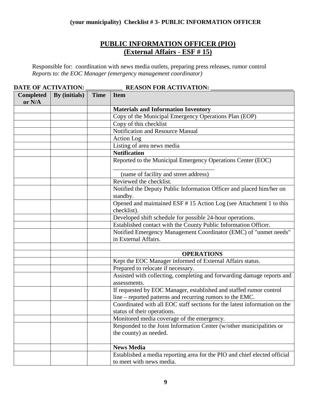## **PUBLIC INFORMATION OFFICER (PIO) (External Affairs - ESF # 15)**

Responsible for: coordination with news media outlets, preparing press releases, rumor control *Reports to: the EOC Manager (emergency management coordinator)*

| DATE OF ACTIVATION:        |               |             | <b>REASON FOR ACTIVATION:</b>                                                                         |
|----------------------------|---------------|-------------|-------------------------------------------------------------------------------------------------------|
| <b>Completed</b><br>or N/A | By (initials) | <b>Time</b> | <b>Item</b>                                                                                           |
|                            |               |             | <b>Materials and Information Inventory</b>                                                            |
|                            |               |             | Copy of the Municipal Emergency Operations Plan (EOP)                                                 |
|                            |               |             | Copy of this checklist                                                                                |
|                            |               |             | Notification and Resource Manual                                                                      |
|                            |               |             | Action Log                                                                                            |
|                            |               |             | Listing of area news media                                                                            |
|                            |               |             | <b>Notification</b>                                                                                   |
|                            |               |             | Reported to the Municipal Emergency Operations Center (EOC)                                           |
|                            |               |             | (name of facility and street address)                                                                 |
|                            |               |             | Reviewed the checklist.                                                                               |
|                            |               |             | Notified the Deputy Public Information Officer and placed him/her on<br>standby.                      |
|                            |               |             | Opened and maintained ESF #15 Action Log (see Attachment 1 to this<br>checklist).                     |
|                            |               |             | Developed shift schedule for possible 24-hour operations.                                             |
|                            |               |             | Established contact with the County Public Information Officer.                                       |
|                            |               |             | Notified Emergency Management Coordinator (EMC) of "unmet needs"<br>in External Affairs.              |
|                            |               |             |                                                                                                       |
|                            |               |             | <b>OPERATIONS</b>                                                                                     |
|                            |               |             | Kept the EOC Manager informed of External Affairs status.                                             |
|                            |               |             | Prepared to relocate if necessary.                                                                    |
|                            |               |             | Assisted with collecting, completing and forwarding damage reports and<br>assessments.                |
|                            |               |             | If requested by EOC Manager, established and staffed rumor control                                    |
|                            |               |             | line – reported patterns and recurring rumors to the EMC.                                             |
|                            |               |             | Coordinated with all EOC staff sections for the latest information on the                             |
|                            |               |             | status of their operations.                                                                           |
|                            |               |             | Monitored media coverage of the emergency.                                                            |
|                            |               |             | Responded to the Joint Information Center (w/other municipalities or<br>the county) as needed.        |
|                            |               |             | <b>News Media</b>                                                                                     |
|                            |               |             | Established a media reporting area for the PIO and chief elected official<br>to meet with news media. |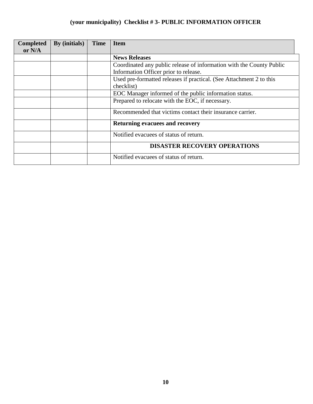## **(your municipality) Checklist # 3- PUBLIC INFORMATION OFFICER**

| <b>Completed</b><br>or N/A | By (initials) | <b>Time</b> | <b>Item</b>                                                          |
|----------------------------|---------------|-------------|----------------------------------------------------------------------|
|                            |               |             | <b>News Releases</b>                                                 |
|                            |               |             | Coordinated any public release of information with the County Public |
|                            |               |             | Information Officer prior to release.                                |
|                            |               |             | Used pre-formatted releases if practical. (See Attachment 2 to this  |
|                            |               |             | checklist)                                                           |
|                            |               |             | EOC Manager informed of the public information status.               |
|                            |               |             | Prepared to relocate with the EOC, if necessary.                     |
|                            |               |             | Recommended that victims contact their insurance carrier.            |
|                            |               |             | <b>Returning evacuees and recovery</b>                               |
|                            |               |             | Notified evacuees of status of return.                               |
|                            |               |             | <b>DISASTER RECOVERY OPERATIONS</b>                                  |
|                            |               |             | Notified evacuees of status of return.                               |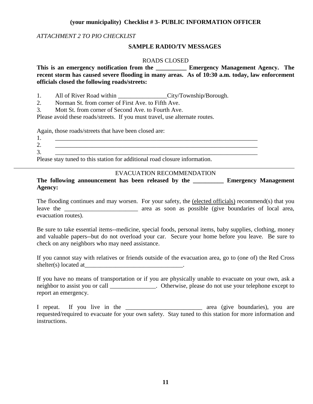#### **(your municipality) Checklist # 3- PUBLIC INFORMATION OFFICER**

#### *ATTACHMENT 2 TO PIO CHECKLIST*

#### **SAMPLE RADIO/TV MESSAGES**

#### ROADS CLOSED

**This is an emergency notification from the \_\_\_\_\_\_\_\_\_\_ Emergency Management Agency. The recent storm has caused severe flooding in many areas. As of 10:30 a.m. today, law enforcement officials closed the following roads/streets:**

1. All of River Road within \_\_\_\_\_\_\_\_\_\_\_\_\_\_\_\_\_City/Township/Borough.

2. Norman St. from corner of First Ave. to Fifth Ave.

3. Mott St. from corner of Second Ave. to Fourth Ave.

Please avoid these roads/streets. If you must travel, use alternate routes.

Again, those roads/streets that have been closed are:

| . .      |  |
|----------|--|
| <u>.</u> |  |
| <u>.</u> |  |

Please stay tuned to this station for additional road closure information.

#### EVACUATION RECOMMENDATION

**The following announcement has been released by the \_\_\_\_\_\_\_\_\_\_ Emergency Management Agency:**

The flooding continues and may worsen. For your safety, the (elected officials) recommend(s) that you leave the \_\_\_\_\_\_\_\_\_\_\_\_\_\_\_\_\_\_\_\_\_\_\_\_ area as soon as possible (give boundaries of local area, evacuation routes).

Be sure to take essential items--medicine, special foods, personal items, baby supplies, clothing, money and valuable papers--but do not overload your car. Secure your home before you leave. Be sure to check on any neighbors who may need assistance.

If you cannot stay with relatives or friends outside of the evacuation area, go to (one of) the Red Cross shelter(s) located at\_\_\_\_\_\_\_\_\_\_\_\_\_\_\_\_\_\_\_\_\_\_\_\_\_\_\_\_\_\_\_\_.

If you have no means of transportation or if you are physically unable to evacuate on your own, ask a neighbor to assist you or call \_\_\_\_\_\_\_\_\_\_\_\_\_\_. Otherwise, please do not use your telephone except to report an emergency.

I repeat. If you live in the \_\_\_\_\_\_\_\_\_\_\_\_\_\_\_\_\_\_\_\_\_\_\_\_\_ area (give boundaries), you are requested/required to evacuate for your own safety. Stay tuned to this station for more information and instructions.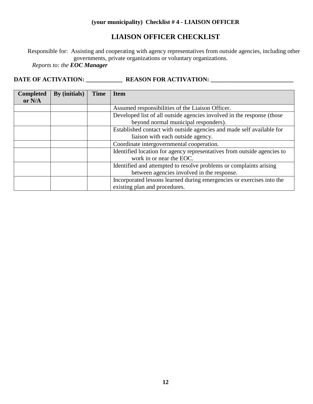### **(your municipality) Checklist # 4 - LIAISON OFFICER**

## **LIAISON OFFICER CHECKLIST**

Responsible for: Assisting and cooperating with agency representatives from outside agencies, including other governments, private organizations or voluntary organizations.

*Reports to: the EOC Manager*

| <b>Completed</b><br>or $N/A$ | By (initials) | <b>Time</b> | <b>Item</b>                                                             |
|------------------------------|---------------|-------------|-------------------------------------------------------------------------|
|                              |               |             | Assumed responsibilities of the Liaison Officer.                        |
|                              |               |             |                                                                         |
|                              |               |             | Developed list of all outside agencies involved in the response (those  |
|                              |               |             | beyond normal municipal responders).                                    |
|                              |               |             | Established contact with outside agencies and made self available for   |
|                              |               |             | liaison with each outside agency.                                       |
|                              |               |             | Coordinate intergovernmental cooperation.                               |
|                              |               |             | Identified location for agency representatives from outside agencies to |
|                              |               |             | work in or near the EOC.                                                |
|                              |               |             | Identified and attempted to resolve problems or complaints arising      |
|                              |               |             | between agencies involved in the response.                              |
|                              |               |             | Incorporated lessons learned during emergencies or exercises into the   |
|                              |               |             | existing plan and procedures.                                           |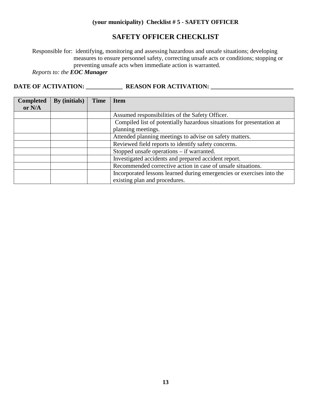### **(your municipality) Checklist # 5 - SAFETY OFFICER**

### **SAFETY OFFICER CHECKLIST**

Responsible for: identifying, monitoring and assessing hazardous and unsafe situations; developing measures to ensure personnel safety, correcting unsafe acts or conditions; stopping or preventing unsafe acts when immediate action is warranted.

*Reports to: the EOC Manager*

| <b>Completed</b><br>or $N/A$ | By (initials) | <b>Time</b> | <b>Item</b>                                                                                            |
|------------------------------|---------------|-------------|--------------------------------------------------------------------------------------------------------|
|                              |               |             | Assumed responsibilities of the Safety Officer.                                                        |
|                              |               |             | Compiled list of potentially hazardous situations for presentation at                                  |
|                              |               |             | planning meetings.                                                                                     |
|                              |               |             | Attended planning meetings to advise on safety matters.                                                |
|                              |               |             | Reviewed field reports to identify safety concerns.                                                    |
|                              |               |             | Stopped unsafe operations $-$ if warranted.                                                            |
|                              |               |             | Investigated accidents and prepared accident report.                                                   |
|                              |               |             | Recommended corrective action in case of unsafe situations.                                            |
|                              |               |             | Incorporated lessons learned during emergencies or exercises into the<br>existing plan and procedures. |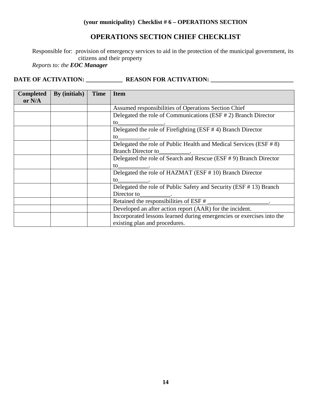### **OPERATIONS SECTION CHIEF CHECKLIST**

Responsible for: provision of emergency services to aid in the protection of the municipal government, its citizens and their property

*Reports to: the EOC Manager*

| <b>Completed</b><br>or $N/A$ | By (initials) | <b>Time</b> | <b>Item</b>                                                                                                                                                                                                                    |
|------------------------------|---------------|-------------|--------------------------------------------------------------------------------------------------------------------------------------------------------------------------------------------------------------------------------|
|                              |               |             | Assumed responsibilities of Operations Section Chief                                                                                                                                                                           |
|                              |               |             | Delegated the role of Communications (ESF # 2) Branch Director                                                                                                                                                                 |
|                              |               |             | to to the contract of the contract of the contract of the contract of the contract of the contract of the contract of the contract of the contract of the contract of the contract of the contract of the contract of the cont |
|                              |               |             | Delegated the role of Firefighting (ESF #4) Branch Director                                                                                                                                                                    |
|                              |               |             | to .                                                                                                                                                                                                                           |
|                              |               |             | Delegated the role of Public Health and Medical Services (ESF # 8)                                                                                                                                                             |
|                              |               |             |                                                                                                                                                                                                                                |
|                              |               |             | Delegated the role of Search and Rescue (ESF # 9) Branch Director                                                                                                                                                              |
|                              |               |             | to                                                                                                                                                                                                                             |
|                              |               |             | Delegated the role of HAZMAT (ESF # 10) Branch Director                                                                                                                                                                        |
|                              |               |             | to                                                                                                                                                                                                                             |
|                              |               |             | Delegated the role of Public Safety and Security (ESF #13) Branch                                                                                                                                                              |
|                              |               |             |                                                                                                                                                                                                                                |
|                              |               |             | Retained the responsibilities of ESF # ______________________.                                                                                                                                                                 |
|                              |               |             | Developed an after action report (AAR) for the incident.                                                                                                                                                                       |
|                              |               |             | Incorporated lessons learned during emergencies or exercises into the                                                                                                                                                          |
|                              |               |             | existing plan and procedures.                                                                                                                                                                                                  |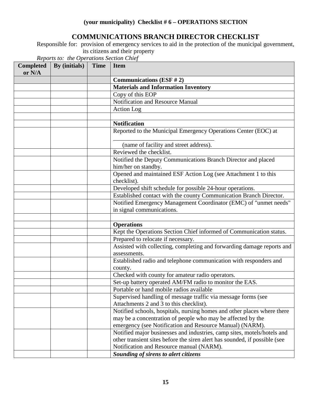## **COMMUNICATIONS BRANCH DIRECTOR CHECKLIST**

Responsible for: provision of emergency services to aid in the protection of the municipal government, its citizens and their property

| <b>Completed</b><br>or N/A | By (initials) | <b>Time</b> | <b>Item</b>                                                                                              |
|----------------------------|---------------|-------------|----------------------------------------------------------------------------------------------------------|
|                            |               |             | <b>Communications (ESF #2)</b>                                                                           |
|                            |               |             | <b>Materials and Information Inventory</b>                                                               |
|                            |               |             | Copy of this EOP                                                                                         |
|                            |               |             | Notification and Resource Manual                                                                         |
|                            |               |             | <b>Action Log</b>                                                                                        |
|                            |               |             |                                                                                                          |
|                            |               |             | <b>Notification</b>                                                                                      |
|                            |               |             | Reported to the Municipal Emergency Operations Center (EOC) at                                           |
|                            |               |             | (name of facility and street address).                                                                   |
|                            |               |             | Reviewed the checklist.                                                                                  |
|                            |               |             | Notified the Deputy Communications Branch Director and placed<br>him/her on standby.                     |
|                            |               |             | Opened and maintained ESF Action Log (see Attachment 1 to this<br>checklist).                            |
|                            |               |             | Developed shift schedule for possible 24-hour operations.                                                |
|                            |               |             | Established contact with the county Communication Branch Director.                                       |
|                            |               |             | Notified Emergency Management Coordinator (EMC) of "unmet needs"                                         |
|                            |               |             | in signal communications.                                                                                |
|                            |               |             |                                                                                                          |
|                            |               |             | <b>Operations</b>                                                                                        |
|                            |               |             | Kept the Operations Section Chief informed of Communication status.                                      |
|                            |               |             | Prepared to relocate if necessary.                                                                       |
|                            |               |             | Assisted with collecting, completing and forwarding damage reports and                                   |
|                            |               |             | assessments.                                                                                             |
|                            |               |             | Established radio and telephone communication with responders and<br>county.                             |
|                            |               |             | Checked with county for amateur radio operators.                                                         |
|                            |               |             | Set-up battery operated AM/FM radio to monitor the EAS.                                                  |
|                            |               |             | Portable or hand mobile radios available                                                                 |
|                            |               |             | Supervised handling of message traffic via message forms (see<br>Attachments 2 and 3 to this checklist). |
|                            |               |             | Notified schools, hospitals, nursing homes and other places where there                                  |
|                            |               |             | may be a concentration of people who may be affected by the                                              |
|                            |               |             | emergency (see Notification and Resource Manual) (NARM).                                                 |
|                            |               |             | Notified major businesses and industries, camp sites, motels/hotels and                                  |
|                            |               |             | other transient sites before the siren alert has sounded, if possible (see                               |
|                            |               |             | Notification and Resource manual (NARM).                                                                 |
|                            |               |             | Sounding of sirens to alert citizens                                                                     |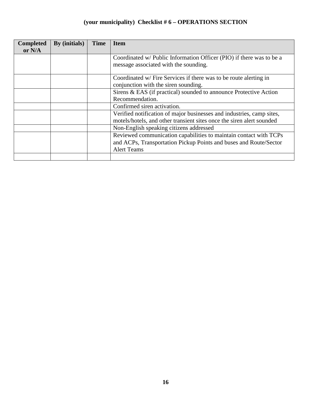| <b>Completed</b><br>or N/A | By (initials) | <b>Time</b> | <b>Item</b>                                                                                                                                                  |
|----------------------------|---------------|-------------|--------------------------------------------------------------------------------------------------------------------------------------------------------------|
|                            |               |             | Coordinated w/ Public Information Officer (PIO) if there was to be a<br>message associated with the sounding.                                                |
|                            |               |             | Coordinated w/ Fire Services if there was to be route alerting in<br>conjunction with the siren sounding.                                                    |
|                            |               |             | Sirens & EAS (if practical) sounded to announce Protective Action<br>Recommendation.                                                                         |
|                            |               |             | Confirmed siren activation.                                                                                                                                  |
|                            |               |             | Verified notification of major businesses and industries, camp sites,<br>motels/hotels, and other transient sites once the siren alert sounded               |
|                            |               |             | Non-English speaking citizens addressed                                                                                                                      |
|                            |               |             | Reviewed communication capabilities to maintain contact with TCPs<br>and ACPs, Transportation Pickup Points and buses and Route/Sector<br><b>Alert Teams</b> |
|                            |               |             |                                                                                                                                                              |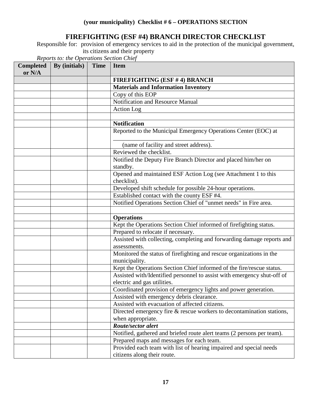## **FIREFIGHTING (ESF #4) BRANCH DIRECTOR CHECKLIST**

Responsible for: provision of emergency services to aid in the protection of the municipal government, its citizens and their property

| <b>Completed</b><br>or N/A | By (initials) | <b>Time</b> | <b>Item</b>                                                                                            |
|----------------------------|---------------|-------------|--------------------------------------------------------------------------------------------------------|
|                            |               |             | <b>FIREFIGHTING (ESF #4) BRANCH</b>                                                                    |
|                            |               |             | <b>Materials and Information Inventory</b>                                                             |
|                            |               |             | Copy of this EOP                                                                                       |
|                            |               |             | Notification and Resource Manual                                                                       |
|                            |               |             | Action Log                                                                                             |
|                            |               |             |                                                                                                        |
|                            |               |             | <b>Notification</b>                                                                                    |
|                            |               |             | Reported to the Municipal Emergency Operations Center (EOC) at                                         |
|                            |               |             | (name of facility and street address).                                                                 |
|                            |               |             | Reviewed the checklist.                                                                                |
|                            |               |             | Notified the Deputy Fire Branch Director and placed him/her on<br>standby.                             |
|                            |               |             | Opened and maintained ESF Action Log (see Attachment 1 to this<br>checklist).                          |
|                            |               |             | Developed shift schedule for possible 24-hour operations.                                              |
|                            |               |             | Established contact with the county ESF #4.                                                            |
|                            |               |             | Notified Operations Section Chief of "unmet needs" in Fire area.                                       |
|                            |               |             |                                                                                                        |
|                            |               |             | <b>Operations</b>                                                                                      |
|                            |               |             | Kept the Operations Section Chief informed of firefighting status.                                     |
|                            |               |             | Prepared to relocate if necessary.                                                                     |
|                            |               |             | Assisted with collecting, completing and forwarding damage reports and<br>assessments.                 |
|                            |               |             | Monitored the status of firefighting and rescue organizations in the<br>municipality.                  |
|                            |               |             | Kept the Operations Section Chief informed of the fire/rescue status.                                  |
|                            |               |             | Assisted with/Identified personnel to assist with emergency shut-off of<br>electric and gas utilities. |
|                            |               |             | Coordinated provision of emergency lights and power generation.                                        |
|                            |               |             | Assisted with emergency debris clearance.                                                              |
|                            |               |             | Assisted with evacuation of affected citizens.                                                         |
|                            |               |             | Directed emergency fire & rescue workers to decontamination stations,                                  |
|                            |               |             | when appropriate.                                                                                      |
|                            |               |             | Route/sector alert                                                                                     |
|                            |               |             | Notified, gathered and briefed route alert teams (2 persons per team).                                 |
|                            |               |             | Prepared maps and messages for each team.                                                              |
|                            |               |             | Provided each team with list of hearing impaired and special needs<br>citizens along their route.      |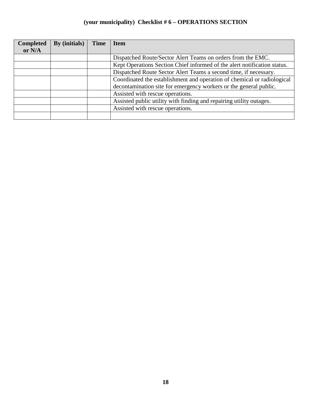| <b>Completed</b> | <b>By</b> (initials) | <b>Time</b> | <b>Item</b>                                                              |
|------------------|----------------------|-------------|--------------------------------------------------------------------------|
| or $N/A$         |                      |             |                                                                          |
|                  |                      |             | Dispatched Route/Sector Alert Teams on orders from the EMC.              |
|                  |                      |             | Kept Operations Section Chief informed of the alert notification status. |
|                  |                      |             | Dispatched Route Sector Alert Teams a second time, if necessary.         |
|                  |                      |             | Coordinated the establishment and operation of chemical or radiological  |
|                  |                      |             | decontamination site for emergency workers or the general public.        |
|                  |                      |             | Assisted with rescue operations.                                         |
|                  |                      |             | Assisted public utility with finding and repairing utility outages.      |
|                  |                      |             | Assisted with rescue operations.                                         |
|                  |                      |             |                                                                          |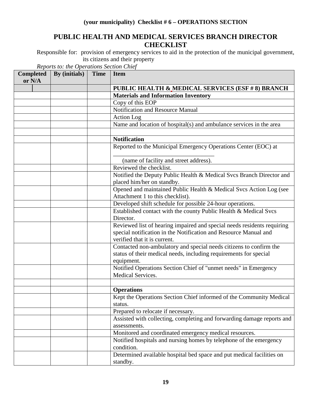## **PUBLIC HEALTH AND MEDICAL SERVICES BRANCH DIRECTOR CHECKLIST**

Responsible for: provision of emergency services to aid in the protection of the municipal government, its citizens and their property

| <b>Completed</b><br>or N/A | By (initials) | <b>Time</b> | <b>Item</b>                                                                   |
|----------------------------|---------------|-------------|-------------------------------------------------------------------------------|
|                            |               |             | <b>PUBLIC HEALTH &amp; MEDICAL SERVICES (ESF # 8) BRANCH</b>                  |
|                            |               |             | <b>Materials and Information Inventory</b>                                    |
|                            |               |             | Copy of this EOP                                                              |
|                            |               |             | Notification and Resource Manual                                              |
|                            |               |             | <b>Action</b> Log                                                             |
|                            |               |             | Name and location of hospital(s) and ambulance services in the area           |
|                            |               |             |                                                                               |
|                            |               |             | <b>Notification</b>                                                           |
|                            |               |             | Reported to the Municipal Emergency Operations Center (EOC) at                |
|                            |               |             | (name of facility and street address).                                        |
|                            |               |             | Reviewed the checklist.                                                       |
|                            |               |             | Notified the Deputy Public Health & Medical Svcs Branch Director and          |
|                            |               |             | placed him/her on standby.                                                    |
|                            |               |             | Opened and maintained Public Health & Medical Svcs Action Log (see            |
|                            |               |             | Attachment 1 to this checklist).                                              |
|                            |               |             | Developed shift schedule for possible 24-hour operations.                     |
|                            |               |             | Established contact with the county Public Health & Medical Svcs              |
|                            |               |             | Director.                                                                     |
|                            |               |             | Reviewed list of hearing impaired and special needs residents requiring       |
|                            |               |             | special notification in the Notification and Resource Manual and              |
|                            |               |             | verified that it is current.                                                  |
|                            |               |             | Contacted non-ambulatory and special needs citizens to confirm the            |
|                            |               |             | status of their medical needs, including requirements for special             |
|                            |               |             | equipment.<br>Notified Operations Section Chief of "unmet needs" in Emergency |
|                            |               |             | <b>Medical Services.</b>                                                      |
|                            |               |             |                                                                               |
|                            |               |             | <b>Operations</b>                                                             |
|                            |               |             | Kept the Operations Section Chief informed of the Community Medical           |
|                            |               |             | status.                                                                       |
|                            |               |             | Prepared to relocate if necessary.                                            |
|                            |               |             | Assisted with collecting, completing and forwarding damage reports and        |
|                            |               |             | assessments.                                                                  |
|                            |               |             | Monitored and coordinated emergency medical resources.                        |
|                            |               |             | Notified hospitals and nursing homes by telephone of the emergency            |
|                            |               |             | condition.                                                                    |
|                            |               |             | Determined available hospital bed space and put medical facilities on         |
|                            |               |             | standby.                                                                      |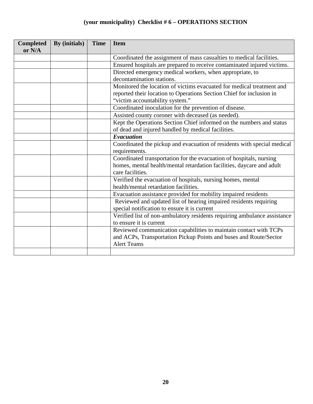| <b>Completed</b><br>or N/A | By (initials) | <b>Time</b> | <b>Item</b>                                                              |
|----------------------------|---------------|-------------|--------------------------------------------------------------------------|
|                            |               |             | Coordinated the assignment of mass casualties to medical facilities.     |
|                            |               |             | Ensured hospitals are prepared to receive contaminated injured victims.  |
|                            |               |             | Directed emergency medical workers, when appropriate, to                 |
|                            |               |             | decontamination stations.                                                |
|                            |               |             | Monitored the location of victims evacuated for medical treatment and    |
|                            |               |             | reported their location to Operations Section Chief for inclusion in     |
|                            |               |             | "victim accountability system."                                          |
|                            |               |             | Coordinated inoculation for the prevention of disease.                   |
|                            |               |             | Assisted county coroner with deceased (as needed).                       |
|                            |               |             | Kept the Operations Section Chief informed on the numbers and status     |
|                            |               |             | of dead and injured handled by medical facilities.                       |
|                            |               |             | <b>Evacuation</b>                                                        |
|                            |               |             | Coordinated the pickup and evacuation of residents with special medical  |
|                            |               |             | requirements.                                                            |
|                            |               |             | Coordinated transportation for the evacuation of hospitals, nursing      |
|                            |               |             | homes, mental health/mental retardation facilities, daycare and adult    |
|                            |               |             | care facilities.                                                         |
|                            |               |             | Verified the evacuation of hospitals, nursing homes, mental              |
|                            |               |             | health/mental retardation facilities.                                    |
|                            |               |             | Evacuation assistance provided for mobility impaired residents           |
|                            |               |             | Reviewed and updated list of hearing impaired residents requiring        |
|                            |               |             | special notification to ensure it is current                             |
|                            |               |             | Verified list of non-ambulatory residents requiring ambulance assistance |
|                            |               |             | to ensure it is current                                                  |
|                            |               |             | Reviewed communication capabilities to maintain contact with TCPs        |
|                            |               |             | and ACPs, Transportation Pickup Points and buses and Route/Sector        |
|                            |               |             | <b>Alert Teams</b>                                                       |
|                            |               |             |                                                                          |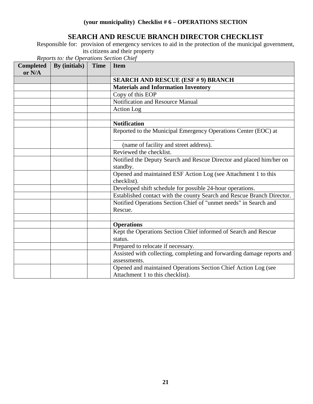## **SEARCH AND RESCUE BRANCH DIRECTOR CHECKLIST**

Responsible for: provision of emergency services to aid in the protection of the municipal government, its citizens and their property

| <b>Completed</b><br>or N/A | By (initials) | <b>Time</b> | <b>Item</b>                                                                   |
|----------------------------|---------------|-------------|-------------------------------------------------------------------------------|
|                            |               |             | <b>SEARCH AND RESCUE (ESF # 9) BRANCH</b>                                     |
|                            |               |             | <b>Materials and Information Inventory</b>                                    |
|                            |               |             | Copy of this EOP                                                              |
|                            |               |             | Notification and Resource Manual                                              |
|                            |               |             | <b>Action Log</b>                                                             |
|                            |               |             |                                                                               |
|                            |               |             | <b>Notification</b>                                                           |
|                            |               |             | Reported to the Municipal Emergency Operations Center (EOC) at                |
|                            |               |             | (name of facility and street address).                                        |
|                            |               |             | Reviewed the checklist.                                                       |
|                            |               |             | Notified the Deputy Search and Rescue Director and placed him/her on          |
|                            |               |             | standby.                                                                      |
|                            |               |             | Opened and maintained ESF Action Log (see Attachment 1 to this<br>checklist). |
|                            |               |             | Developed shift schedule for possible 24-hour operations.                     |
|                            |               |             | Established contact with the county Search and Rescue Branch Director.        |
|                            |               |             | Notified Operations Section Chief of "unmet needs" in Search and              |
|                            |               |             | Rescue.                                                                       |
|                            |               |             |                                                                               |
|                            |               |             | <b>Operations</b>                                                             |
|                            |               |             | Kept the Operations Section Chief informed of Search and Rescue               |
|                            |               |             | status.                                                                       |
|                            |               |             | Prepared to relocate if necessary.                                            |
|                            |               |             | Assisted with collecting, completing and forwarding damage reports and        |
|                            |               |             | assessments.                                                                  |
|                            |               |             | Opened and maintained Operations Section Chief Action Log (see                |
|                            |               |             | Attachment 1 to this checklist).                                              |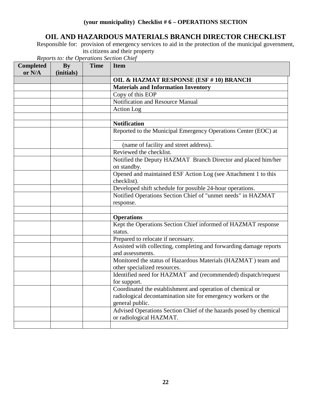## **OIL AND HAZARDOUS MATERIALS BRANCH DIRECTOR CHECKLIST**

Responsible for: provision of emergency services to aid in the protection of the municipal government, its citizens and their property

| <b>Completed</b><br>or N/A | <b>By</b><br>(initials) | <b>Time</b> | <b>Item</b>                                                                                                                                     |
|----------------------------|-------------------------|-------------|-------------------------------------------------------------------------------------------------------------------------------------------------|
|                            |                         |             | OIL & HAZMAT RESPONSE (ESF #10) BRANCH                                                                                                          |
|                            |                         |             | <b>Materials and Information Inventory</b>                                                                                                      |
|                            |                         |             | Copy of this EOP                                                                                                                                |
|                            |                         |             | <b>Notification and Resource Manual</b>                                                                                                         |
|                            |                         |             | <b>Action Log</b>                                                                                                                               |
|                            |                         |             |                                                                                                                                                 |
|                            |                         |             | <b>Notification</b>                                                                                                                             |
|                            |                         |             | Reported to the Municipal Emergency Operations Center (EOC) at                                                                                  |
|                            |                         |             | (name of facility and street address).                                                                                                          |
|                            |                         |             | Reviewed the checklist.                                                                                                                         |
|                            |                         |             | Notified the Deputy HAZMAT Branch Director and placed him/her<br>on standby.                                                                    |
|                            |                         |             | Opened and maintained ESF Action Log (see Attachment 1 to this<br>checklist).                                                                   |
|                            |                         |             | Developed shift schedule for possible 24-hour operations.                                                                                       |
|                            |                         |             | Notified Operations Section Chief of "unmet needs" in HAZMAT<br>response.                                                                       |
|                            |                         |             |                                                                                                                                                 |
|                            |                         |             | <b>Operations</b>                                                                                                                               |
|                            |                         |             | Kept the Operations Section Chief informed of HAZMAT response<br>status.                                                                        |
|                            |                         |             | Prepared to relocate if necessary.                                                                                                              |
|                            |                         |             | Assisted with collecting, completing and forwarding damage reports<br>and assessments.                                                          |
|                            |                         |             | Monitored the status of Hazardous Materials (HAZMAT) team and<br>other specialized resources.                                                   |
|                            |                         |             | Identified need for HAZMAT and (recommended) dispatch/request<br>for support.                                                                   |
|                            |                         |             | Coordinated the establishment and operation of chemical or<br>radiological decontamination site for emergency workers or the<br>general public. |
|                            |                         |             | Advised Operations Section Chief of the hazards posed by chemical<br>or radiological HAZMAT.                                                    |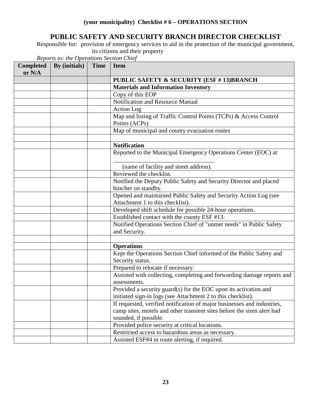## **PUBLIC SAFETY AND SECURITY BRANCH DIRECTOR CHECKLIST**

Responsible for: provision of emergency services to aid in the protection of the municipal government, its citizens and their property

| <b>Completed</b><br>or N/A | By (initials) | <b>Time</b> | <b>Item</b>                                                                                          |
|----------------------------|---------------|-------------|------------------------------------------------------------------------------------------------------|
|                            |               |             | <b>PUBLIC SAFETY &amp; SECURITY (ESF #13)BRANCH</b>                                                  |
|                            |               |             | <b>Materials and Information Inventory</b>                                                           |
|                            |               |             | Copy of this EOP                                                                                     |
|                            |               |             | Notification and Resource Manual                                                                     |
|                            |               |             | <b>Action</b> Log                                                                                    |
|                            |               |             | Map and listing of Traffic Control Points (TCPs) & Access Control<br>Points (ACPs)                   |
|                            |               |             | Map of municipal and county evacuation routes                                                        |
|                            |               |             |                                                                                                      |
|                            |               |             | <b>Notification</b>                                                                                  |
|                            |               |             | Reported to the Municipal Emergency Operations Center (EOC) at                                       |
|                            |               |             | (name of facility and street address).                                                               |
|                            |               |             | Reviewed the checklist.                                                                              |
|                            |               |             | Notified the Deputy Public Safety and Security Director and placed                                   |
|                            |               |             | him/her on standby.                                                                                  |
|                            |               |             | Opened and maintained Public Safety and Security Action Log (see<br>Attachment 1 to this checklist). |
|                            |               |             | Developed shift schedule for possible 24-hour operations.                                            |
|                            |               |             | Established contact with the county ESF #13.                                                         |
|                            |               |             | Notified Operations Section Chief of "unmet needs" in Public Safety                                  |
|                            |               |             | and Security.                                                                                        |
|                            |               |             |                                                                                                      |
|                            |               |             | <b>Operations</b>                                                                                    |
|                            |               |             | Kept the Operations Section Chief informed of the Public Safety and<br>Security status.              |
|                            |               |             | Prepared to relocate if necessary.                                                                   |
|                            |               |             | Assisted with collecting, completing and forwarding damage reports and<br>assessments.               |
|                            |               |             | Provided a security guard(s) for the EOC upon its activation and                                     |
|                            |               |             | initiated sign-in logs (see Attachment 2 to this checklist).                                         |
|                            |               |             | If requested, verified notification of major businesses and industries,                              |
|                            |               |             | camp sites, motels and other transient sites before the siren alert had                              |
|                            |               |             | sounded, if possible.                                                                                |
|                            |               |             | Provided police security at critical locations.                                                      |
|                            |               |             | Restricted access to hazardous areas as necessary.                                                   |
|                            |               |             | Assisted ESF#4 in route alerting, if required.                                                       |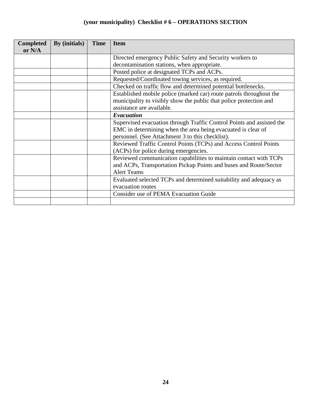| <b>Completed</b> | By (initials) | <b>Time</b> | <b>Item</b>                                                           |
|------------------|---------------|-------------|-----------------------------------------------------------------------|
| or N/A           |               |             |                                                                       |
|                  |               |             | Directed emergency Public Safety and Security workers to              |
|                  |               |             | decontamination stations, when appropriate.                           |
|                  |               |             | Posted police at designated TCPs and ACPs.                            |
|                  |               |             | Requested/Coordinated towing services, as required.                   |
|                  |               |             | Checked on traffic flow and determined potential bottlenecks.         |
|                  |               |             | Established mobile police (marked car) route patrols throughout the   |
|                  |               |             | municipality to visibly show the public that police protection and    |
|                  |               |             | assistance are available.                                             |
|                  |               |             | Evacuation                                                            |
|                  |               |             | Supervised evacuation through Traffic Control Points and assisted the |
|                  |               |             | EMC in determining when the area being evacuated is clear of          |
|                  |               |             | personnel. (See Attachment 3 to this checklist).                      |
|                  |               |             | Reviewed Traffic Control Points (TCPs) and Access Control Points      |
|                  |               |             | (ACPs) for police during emergencies.                                 |
|                  |               |             | Reviewed communication capabilities to maintain contact with TCPs     |
|                  |               |             | and ACPs, Transportation Pickup Points and buses and Route/Sector     |
|                  |               |             | <b>Alert Teams</b>                                                    |
|                  |               |             | Evaluated selected TCPs and determined suitability and adequacy as    |
|                  |               |             | evacuation routes                                                     |
|                  |               |             | Consider use of PEMA Evacuation Guide                                 |
|                  |               |             |                                                                       |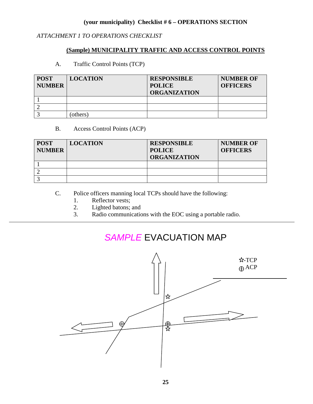### *ATTACHMENT 1 TO OPERATIONS CHECKLIST*

### **(Sample) MUNICIPALITY TRAFFIC AND ACCESS CONTROL POINTS**

A. Traffic Control Points (TCP)

| <b>POST</b><br><b>NUMBER</b> | <b>LOCATION</b> | <b>RESPONSIBLE</b><br><b>POLICE</b><br><b>ORGANIZATION</b> | <b>NUMBER OF</b><br><b>OFFICERS</b> |
|------------------------------|-----------------|------------------------------------------------------------|-------------------------------------|
|                              |                 |                                                            |                                     |
|                              |                 |                                                            |                                     |
|                              | others)         |                                                            |                                     |

### B. Access Control Points (ACP)

| <b>POST</b><br><b>NUMBER</b> | <b>LOCATION</b> | <b>RESPONSIBLE</b><br><b>POLICE</b><br><b>ORGANIZATION</b> | <b>NUMBER OF</b><br><b>OFFICERS</b> |
|------------------------------|-----------------|------------------------------------------------------------|-------------------------------------|
|                              |                 |                                                            |                                     |
|                              |                 |                                                            |                                     |
|                              |                 |                                                            |                                     |

- C. Police officers manning local TCPs should have the following:
	- 1. Reflector vests;
	- 2. Lighted batons; and<br>3. Radio communication
	- Radio communications with the EOC using a portable radio.

# *SAMPLE* EVACUATION MAP

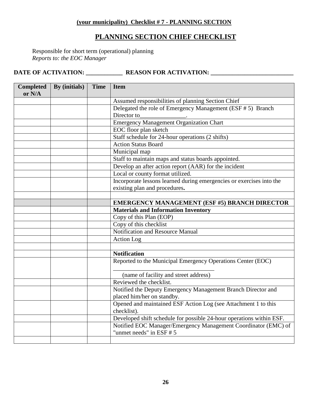### **(your municipality) Checklist # 7 - PLANNING SECTION**

### **PLANNING SECTION CHIEF CHECKLIST**

Responsible for short term (operational) planning *Reports to: the EOC Manager*

| <b>Completed</b><br>or N/A | By (initials) | <b>Time</b> | <b>Item</b>                                                          |
|----------------------------|---------------|-------------|----------------------------------------------------------------------|
|                            |               |             | Assumed responsibilities of planning Section Chief                   |
|                            |               |             | Delegated the role of Emergency Management (ESF # 5) Branch          |
|                            |               |             | Director to                                                          |
|                            |               |             | <b>Emergency Management Organization Chart</b>                       |
|                            |               |             | EOC floor plan sketch                                                |
|                            |               |             | Staff schedule for 24-hour operations $(2 \text{ shifts})$           |
|                            |               |             | <b>Action Status Board</b>                                           |
|                            |               |             | Municipal map                                                        |
|                            |               |             | Staff to maintain maps and status boards appointed.                  |
|                            |               |             | Develop an after action report (AAR) for the incident                |
|                            |               |             | Local or county format utilized.                                     |
|                            |               |             | Incorporate lessons learned during emergencies or exercises into the |
|                            |               |             | existing plan and procedures.                                        |
|                            |               |             |                                                                      |
|                            |               |             | <b>EMERGENCY MANAGEMENT (ESF #5) BRANCH DIRECTOR</b>                 |
|                            |               |             | <b>Materials and Information Inventory</b>                           |
|                            |               |             | Copy of this Plan (EOP)                                              |
|                            |               |             | Copy of this checklist                                               |
|                            |               |             | Notification and Resource Manual                                     |
|                            |               |             | Action Log                                                           |
|                            |               |             |                                                                      |
|                            |               |             | <b>Notification</b>                                                  |
|                            |               |             | Reported to the Municipal Emergency Operations Center (EOC)          |
|                            |               |             | (name of facility and street address)                                |
|                            |               |             | Reviewed the checklist.                                              |
|                            |               |             | Notified the Deputy Emergency Management Branch Director and         |
|                            |               |             | placed him/her on standby.                                           |
|                            |               |             | Opened and maintained ESF Action Log (see Attachment 1 to this       |
|                            |               |             | checklist).                                                          |
|                            |               |             | Developed shift schedule for possible 24-hour operations within ESF. |
|                            |               |             | Notified EOC Manager/Emergency Management Coordinator (EMC) of       |
|                            |               |             | "unmet needs" in ESF # 5                                             |
|                            |               |             |                                                                      |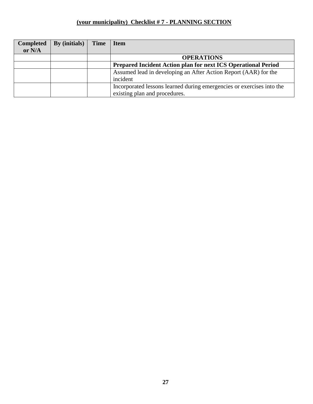### **(your municipality) Checklist # 7 - PLANNING SECTION**

| <b>Completed</b> | By (initials) | <b>Time</b> | <b>Item</b>                                                           |
|------------------|---------------|-------------|-----------------------------------------------------------------------|
| or $N/A$         |               |             |                                                                       |
|                  |               |             | <b>OPERATIONS</b>                                                     |
|                  |               |             | Prepared Incident Action plan for next ICS Operational Period         |
|                  |               |             | Assumed lead in developing an After Action Report (AAR) for the       |
|                  |               |             | incident                                                              |
|                  |               |             | Incorporated lessons learned during emergencies or exercises into the |
|                  |               |             | existing plan and procedures.                                         |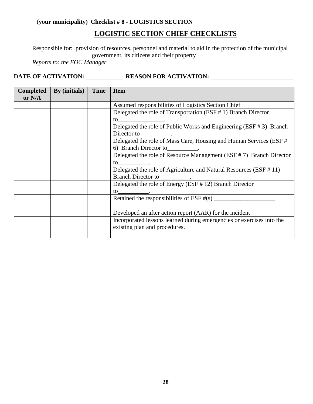### (**your municipality) Checklist # 8 - LOGISTICS SECTION**

### **LOGISTIC SECTION CHIEF CHECKLISTS**

Responsible for: provision of resources, personnel and material to aid in the protection of the municipal government, its citizens and their property

*Reports to: the EOC Manager*

| <b>Completed</b><br>or N/A | By (initials) | <b>Time</b> | <b>Item</b>                                                            |
|----------------------------|---------------|-------------|------------------------------------------------------------------------|
|                            |               |             |                                                                        |
|                            |               |             | Assumed responsibilities of Logistics Section Chief                    |
|                            |               |             | Delegated the role of Transportation (ESF # 1) Branch Director         |
|                            |               |             | to                                                                     |
|                            |               |             | Delegated the role of Public Works and Engineering $(ESF \# 3)$ Branch |
|                            |               |             | Director to                                                            |
|                            |               |             | Delegated the role of Mass Care, Housing and Human Services (ESF #     |
|                            |               |             | 6) Branch Director to                                                  |
|                            |               |             | Delegated the role of Resource Management (ESF # 7) Branch Director    |
|                            |               |             | to                                                                     |
|                            |               |             | Delegated the role of Agriculture and Natural Resources (ESF # 11)     |
|                            |               |             | <b>Branch Director to</b>                                              |
|                            |               |             | Delegated the role of Energy (ESF # 12) Branch Director                |
|                            |               |             | to                                                                     |
|                            |               |             | Retained the responsibilities of ESF $#(s)$                            |
|                            |               |             |                                                                        |
|                            |               |             | Developed an after action report (AAR) for the incident                |
|                            |               |             | Incorporated lessons learned during emergencies or exercises into the  |
|                            |               |             | existing plan and procedures.                                          |
|                            |               |             |                                                                        |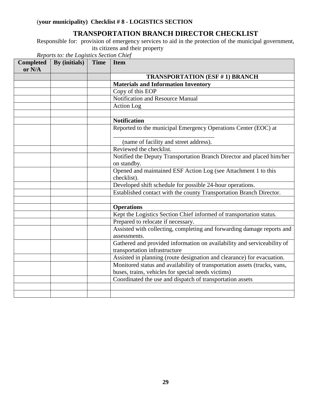## **TRANSPORTATION BRANCH DIRECTOR CHECKLIST**

Responsible for: provision of emergency services to aid in the protection of the municipal government, its citizens and their property

| <b>Completed</b><br>or N/A | By (initials) | <b>Time</b> | <b>Item</b>                                                                                              |
|----------------------------|---------------|-------------|----------------------------------------------------------------------------------------------------------|
|                            |               |             | <b>TRANSPORTATION (ESF #1) BRANCH</b>                                                                    |
|                            |               |             | <b>Materials and Information Inventory</b>                                                               |
|                            |               |             | Copy of this EOP                                                                                         |
|                            |               |             | Notification and Resource Manual                                                                         |
|                            |               |             | <b>Action Log</b>                                                                                        |
|                            |               |             |                                                                                                          |
|                            |               |             | <b>Notification</b>                                                                                      |
|                            |               |             | Reported to the municipal Emergency Operations Center (EOC) at                                           |
|                            |               |             | (name of facility and street address).                                                                   |
|                            |               |             | Reviewed the checklist.                                                                                  |
|                            |               |             | Notified the Deputy Transportation Branch Director and placed him/her                                    |
|                            |               |             | on standby.                                                                                              |
|                            |               |             | Opened and maintained ESF Action Log (see Attachment 1 to this<br>checklist).                            |
|                            |               |             | Developed shift schedule for possible 24-hour operations.                                                |
|                            |               |             | Established contact with the county Transportation Branch Director.                                      |
|                            |               |             |                                                                                                          |
|                            |               |             | <b>Operations</b>                                                                                        |
|                            |               |             | Kept the Logistics Section Chief informed of transportation status.                                      |
|                            |               |             | Prepared to relocate if necessary.                                                                       |
|                            |               |             | Assisted with collecting, completing and forwarding damage reports and<br>assessments.                   |
|                            |               |             | Gathered and provided information on availability and serviceability of<br>transportation infrastructure |
|                            |               |             | Assisted in planning (route designation and clearance) for evacuation.                                   |
|                            |               |             | Monitored status and availability of transportation assets (trucks, vans,                                |
|                            |               |             | buses, trains, vehicles for special needs victims)                                                       |
|                            |               |             | Coordinated the use and dispatch of transportation assets                                                |
|                            |               |             |                                                                                                          |
|                            |               |             |                                                                                                          |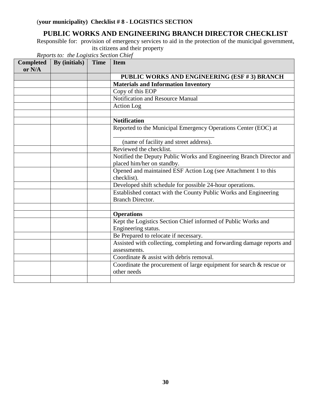## **PUBLIC WORKS AND ENGINEERING BRANCH DIRECTOR CHECKLIST**

Responsible for: provision of emergency services to aid in the protection of the municipal government, its citizens and their property

| <b>Completed</b><br>or N/A | By (initials) | <b>Time</b> | <b>Item</b>                                                                                        |
|----------------------------|---------------|-------------|----------------------------------------------------------------------------------------------------|
|                            |               |             | PUBLIC WORKS AND ENGINEERING (ESF #3) BRANCH                                                       |
|                            |               |             | <b>Materials and Information Inventory</b>                                                         |
|                            |               |             | Copy of this EOP                                                                                   |
|                            |               |             | Notification and Resource Manual                                                                   |
|                            |               |             | Action Log                                                                                         |
|                            |               |             |                                                                                                    |
|                            |               |             | <b>Notification</b>                                                                                |
|                            |               |             | Reported to the Municipal Emergency Operations Center (EOC) at                                     |
|                            |               |             | (name of facility and street address).                                                             |
|                            |               |             | Reviewed the checklist.                                                                            |
|                            |               |             | Notified the Deputy Public Works and Engineering Branch Director and<br>placed him/her on standby. |
|                            |               |             | Opened and maintained ESF Action Log (see Attachment 1 to this<br>checklist).                      |
|                            |               |             | Developed shift schedule for possible 24-hour operations.                                          |
|                            |               |             | Established contact with the County Public Works and Engineering<br><b>Branch Director.</b>        |
|                            |               |             |                                                                                                    |
|                            |               |             | <b>Operations</b>                                                                                  |
|                            |               |             | Kept the Logistics Section Chief informed of Public Works and<br>Engineering status.               |
|                            |               |             | Be Prepared to relocate if necessary.                                                              |
|                            |               |             | Assisted with collecting, completing and forwarding damage reports and                             |
|                            |               |             | assessments.                                                                                       |
|                            |               |             | Coordinate & assist with debris removal.                                                           |
|                            |               |             | Coordinate the procurement of large equipment for search & rescue or<br>other needs                |
|                            |               |             |                                                                                                    |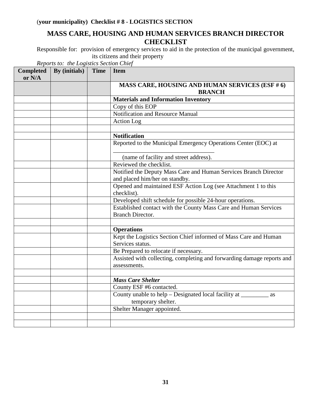## **MASS CARE, HOUSING AND HUMAN SERVICES BRANCH DIRECTOR CHECKLIST**

Responsible for: provision of emergency services to aid in the protection of the municipal government, its citizens and their property

| <b>Completed</b><br>or N/A | By (initials) | <b>Time</b> | <b>Item</b>                                                                            |
|----------------------------|---------------|-------------|----------------------------------------------------------------------------------------|
|                            |               |             | MASS CARE, HOUSING AND HUMAN SERVICES (ESF # 6)<br><b>BRANCH</b>                       |
|                            |               |             | <b>Materials and Information Inventory</b>                                             |
|                            |               |             | Copy of this EOP                                                                       |
|                            |               |             | Notification and Resource Manual                                                       |
|                            |               |             | Action Log                                                                             |
|                            |               |             |                                                                                        |
|                            |               |             | <b>Notification</b>                                                                    |
|                            |               |             | Reported to the Municipal Emergency Operations Center (EOC) at                         |
|                            |               |             | (name of facility and street address).                                                 |
|                            |               |             | Reviewed the checklist.                                                                |
|                            |               |             | Notified the Deputy Mass Care and Human Services Branch Director                       |
|                            |               |             | and placed him/her on standby.                                                         |
|                            |               |             | Opened and maintained ESF Action Log (see Attachment 1 to this                         |
|                            |               |             | checklist).                                                                            |
|                            |               |             | Developed shift schedule for possible 24-hour operations.                              |
|                            |               |             | Established contact with the County Mass Care and Human Services                       |
|                            |               |             | <b>Branch Director.</b>                                                                |
|                            |               |             |                                                                                        |
|                            |               |             | <b>Operations</b>                                                                      |
|                            |               |             | Kept the Logistics Section Chief informed of Mass Care and Human<br>Services status.   |
|                            |               |             | Be Prepared to relocate if necessary.                                                  |
|                            |               |             | Assisted with collecting, completing and forwarding damage reports and<br>assessments. |
|                            |               |             |                                                                                        |
|                            |               |             | <b>Mass Care Shelter</b>                                                               |
|                            |               |             | County ESF #6 contacted.                                                               |
|                            |               |             | County unable to help – Designated local facility at _________<br><b>as</b>            |
|                            |               |             | temporary shelter.                                                                     |
|                            |               |             | Shelter Manager appointed.                                                             |
|                            |               |             |                                                                                        |
|                            |               |             |                                                                                        |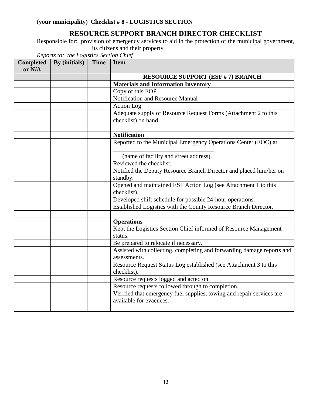## **RESOURCE SUPPORT BRANCH DIRECTOR CHECKLIST**

Responsible for: provision of emergency services to aid in the protection of the municipal government, its citizens and their property

| <b>Completed</b><br>or N/A | By (initials) | <b>Time</b> | <b>Item</b>                                                                                      |
|----------------------------|---------------|-------------|--------------------------------------------------------------------------------------------------|
|                            |               |             | <b>RESOURCE SUPPORT (ESF # 7) BRANCH</b>                                                         |
|                            |               |             | <b>Materials and Information Inventory</b>                                                       |
|                            |               |             | Copy of this EOP                                                                                 |
|                            |               |             | <b>Notification and Resource Manual</b>                                                          |
|                            |               |             | <b>Action</b> Log                                                                                |
|                            |               |             | Adequate supply of Resource Request Forms (Attachment 2 to this<br>checklist) on hand            |
|                            |               |             |                                                                                                  |
|                            |               |             | <b>Notification</b>                                                                              |
|                            |               |             | Reported to the Municipal Emergency Operations Center (EOC) at                                   |
|                            |               |             | (name of facility and street address).                                                           |
|                            |               |             | Reviewed the checklist.                                                                          |
|                            |               |             | Notified the Deputy Resource Branch Director and placed him/her on<br>standby.                   |
|                            |               |             | Opened and maintained ESF Action Log (see Attachment 1 to this<br>checklist).                    |
|                            |               |             | Developed shift schedule for possible 24-hour operations.                                        |
|                            |               |             | Established Logistics with the County Resource Branch Director.                                  |
|                            |               |             |                                                                                                  |
|                            |               |             | <b>Operations</b>                                                                                |
|                            |               |             | Kept the Logistics Section Chief informed of Resource Management<br>status.                      |
|                            |               |             | Be prepared to relocate if necessary.                                                            |
|                            |               |             | Assisted with collecting, completing and forwarding damage reports and<br>assessments.           |
|                            |               |             | Resource Request Status Log established (see Attachment 3 to this<br>checklist).                 |
|                            |               |             | Resource requests logged and acted on                                                            |
|                            |               |             | Resource requests followed through to completion.                                                |
|                            |               |             | Verified that emergency fuel supplies, towing and repair services are<br>available for evacuees. |
|                            |               |             |                                                                                                  |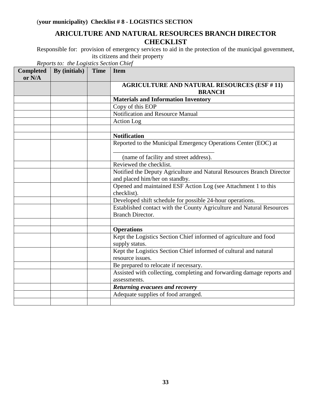## **ARICULTURE AND NATURAL RESOURCES BRANCH DIRECTOR CHECKLIST**

Responsible for: provision of emergency services to aid in the protection of the municipal government, its citizens and their property

| <b>Completed</b><br>or N/A | By (initials) | <b>Time</b> | <b>Item</b>                                                                                             |
|----------------------------|---------------|-------------|---------------------------------------------------------------------------------------------------------|
|                            |               |             | <b>AGRICULTURE AND NATURAL RESOURCES (ESF #11)</b><br><b>BRANCH</b>                                     |
|                            |               |             | <b>Materials and Information Inventory</b>                                                              |
|                            |               |             | Copy of this EOP                                                                                        |
|                            |               |             | Notification and Resource Manual                                                                        |
|                            |               |             | Action Log                                                                                              |
|                            |               |             |                                                                                                         |
|                            |               |             | <b>Notification</b>                                                                                     |
|                            |               |             | Reported to the Municipal Emergency Operations Center (EOC) at                                          |
|                            |               |             | (name of facility and street address).                                                                  |
|                            |               |             | Reviewed the checklist.                                                                                 |
|                            |               |             | Notified the Deputy Agriculture and Natural Resources Branch Director<br>and placed him/her on standby. |
|                            |               |             | Opened and maintained ESF Action Log (see Attachment 1 to this<br>checklist).                           |
|                            |               |             | Developed shift schedule for possible 24-hour operations.                                               |
|                            |               |             | Established contact with the County Agriculture and Natural Resources<br><b>Branch Director.</b>        |
|                            |               |             |                                                                                                         |
|                            |               |             | <b>Operations</b>                                                                                       |
|                            |               |             | Kept the Logistics Section Chief informed of agriculture and food<br>supply status.                     |
|                            |               |             | Kept the Logistics Section Chief informed of cultural and natural<br>resource issues.                   |
|                            |               |             | Be prepared to relocate if necessary.                                                                   |
|                            |               |             | Assisted with collecting, completing and forwarding damage reports and                                  |
|                            |               |             | assessments.                                                                                            |
|                            |               |             | Returning evacuees and recovery                                                                         |
|                            |               |             | Adequate supplies of food arranged.                                                                     |
|                            |               |             |                                                                                                         |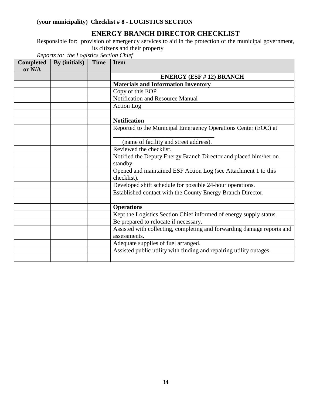## **ENERGY BRANCH DIRECTOR CHECKLIST**

Responsible for: provision of emergency services to aid in the protection of the municipal government, its citizens and their property

| <b>Completed</b><br>or N/A | By (initials) | <b>Time</b> | <b>Item</b>                                                            |
|----------------------------|---------------|-------------|------------------------------------------------------------------------|
|                            |               |             | <b>ENERGY (ESF #12) BRANCH</b>                                         |
|                            |               |             | <b>Materials and Information Inventory</b>                             |
|                            |               |             | Copy of this EOP                                                       |
|                            |               |             | Notification and Resource Manual                                       |
|                            |               |             | Action Log                                                             |
|                            |               |             |                                                                        |
|                            |               |             | <b>Notification</b>                                                    |
|                            |               |             | Reported to the Municipal Emergency Operations Center (EOC) at         |
|                            |               |             |                                                                        |
|                            |               |             | (name of facility and street address).                                 |
|                            |               |             | Reviewed the checklist.                                                |
|                            |               |             | Notified the Deputy Energy Branch Director and placed him/her on       |
|                            |               |             | standby.                                                               |
|                            |               |             | Opened and maintained ESF Action Log (see Attachment 1 to this         |
|                            |               |             | checklist).                                                            |
|                            |               |             | Developed shift schedule for possible 24-hour operations.              |
|                            |               |             | Established contact with the County Energy Branch Director.            |
|                            |               |             |                                                                        |
|                            |               |             | <b>Operations</b>                                                      |
|                            |               |             | Kept the Logistics Section Chief informed of energy supply status.     |
|                            |               |             | Be prepared to relocate if necessary.                                  |
|                            |               |             | Assisted with collecting, completing and forwarding damage reports and |
|                            |               |             | assessments.                                                           |
|                            |               |             | Adequate supplies of fuel arranged.                                    |
|                            |               |             | Assisted public utility with finding and repairing utility outages.    |
|                            |               |             |                                                                        |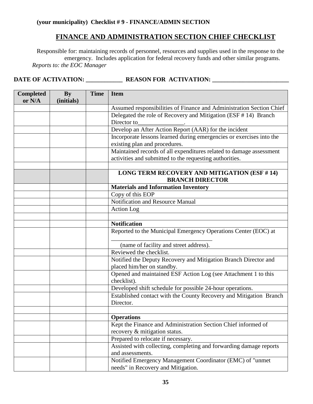### **(your municipality) Checklist # 9 - FINANCE/ADMIN SECTION**

## **FINANCE AND ADMINISTRATION SECTION CHIEF CHECKLIST**

Responsible for: maintaining records of personnel, resources and supplies used in the response to the emergency. Includes application for federal recovery funds and other similar programs. *Reports to: the EOC Manager*

| <b>Completed</b><br>or N/A | <b>By</b><br>(initials) | <b>Time</b> | <b>Item</b>                                                                                                                    |  |
|----------------------------|-------------------------|-------------|--------------------------------------------------------------------------------------------------------------------------------|--|
|                            |                         |             | Assumed responsibilities of Finance and Administration Section Chief                                                           |  |
|                            |                         |             | Delegated the role of Recovery and Mitigation (ESF #14) Branch<br>Director to                                                  |  |
|                            |                         |             | Develop an After Action Report (AAR) for the incident                                                                          |  |
|                            |                         |             | Incorporate lessons learned during emergencies or exercises into the<br>existing plan and procedures.                          |  |
|                            |                         |             | Maintained records of all expenditures related to damage assessment<br>activities and submitted to the requesting authorities. |  |
|                            |                         |             | LONG TERM RECOVERY AND MITIGATION (ESF #14)<br><b>BRANCH DIRECTOR</b>                                                          |  |
|                            |                         |             | <b>Materials and Information Inventory</b>                                                                                     |  |
|                            |                         |             | Copy of this EOP                                                                                                               |  |
|                            |                         |             | Notification and Resource Manual                                                                                               |  |
|                            |                         |             | <b>Action Log</b>                                                                                                              |  |
|                            |                         |             |                                                                                                                                |  |
|                            |                         |             | <b>Notification</b>                                                                                                            |  |
|                            |                         |             | Reported to the Municipal Emergency Operations Center (EOC) at                                                                 |  |
|                            |                         |             | (name of facility and street address).                                                                                         |  |
|                            |                         |             | Reviewed the checklist.                                                                                                        |  |
|                            |                         |             | Notified the Deputy Recovery and Mitigation Branch Director and<br>placed him/her on standby.                                  |  |
|                            |                         |             | Opened and maintained ESF Action Log (see Attachment 1 to this<br>checklist).                                                  |  |
|                            |                         |             | Developed shift schedule for possible 24-hour operations.                                                                      |  |
|                            |                         |             | Established contact with the County Recovery and Mitigation Branch<br>Director.                                                |  |
|                            |                         |             |                                                                                                                                |  |
|                            |                         |             | <b>Operations</b>                                                                                                              |  |
|                            |                         |             | Kept the Finance and Administration Section Chief informed of                                                                  |  |
|                            |                         |             | recovery & mitigation status.                                                                                                  |  |
|                            |                         |             | Prepared to relocate if necessary.                                                                                             |  |
|                            |                         |             | Assisted with collecting, completing and forwarding damage reports<br>and assessments.                                         |  |
|                            |                         |             | Notified Emergency Management Coordinator (EMC) of "unmet                                                                      |  |
|                            |                         |             | needs" in Recovery and Mitigation.                                                                                             |  |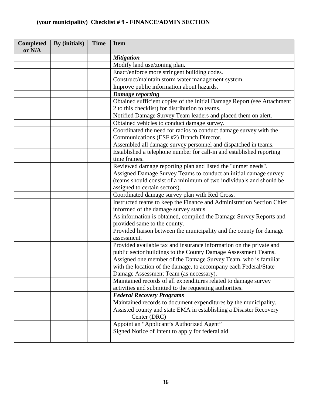## **(your municipality) Checklist # 9 - FINANCE/ADMIN SECTION**

| <b>Completed</b><br>or N/A | By (initials) | <b>Time</b> | <b>Item</b>                                                                       |
|----------------------------|---------------|-------------|-----------------------------------------------------------------------------------|
|                            |               |             | <b>Mitigation</b>                                                                 |
|                            |               |             | Modify land use/zoning plan.                                                      |
|                            |               |             | Enact/enforce more stringent building codes.                                      |
|                            |               |             | Construct/maintain storm water management system.                                 |
|                            |               |             | Improve public information about hazards.                                         |
|                            |               |             | <b>Damage reporting</b>                                                           |
|                            |               |             | Obtained sufficient copies of the Initial Damage Report (see Attachment           |
|                            |               |             | 2 to this checklist) for distribution to teams.                                   |
|                            |               |             | Notified Damage Survey Team leaders and placed them on alert.                     |
|                            |               |             | Obtained vehicles to conduct damage survey.                                       |
|                            |               |             | Coordinated the need for radios to conduct damage survey with the                 |
|                            |               |             | Communications (ESF #2) Branch Director.                                          |
|                            |               |             | Assembled all damage survey personnel and dispatched in teams.                    |
|                            |               |             | Established a telephone number for call-in and established reporting              |
|                            |               |             | time frames.                                                                      |
|                            |               |             | Reviewed damage reporting plan and listed the "unmet needs".                      |
|                            |               |             | Assigned Damage Survey Teams to conduct an initial damage survey                  |
|                            |               |             | (teams should consist of a minimum of two individuals and should be               |
|                            |               |             | assigned to certain sectors).                                                     |
|                            |               |             | Coordinated damage survey plan with Red Cross.                                    |
|                            |               |             | Instructed teams to keep the Finance and Administration Section Chief             |
|                            |               |             | informed of the damage survey status                                              |
|                            |               |             | As information is obtained, compiled the Damage Survey Reports and                |
|                            |               |             | provided same to the county.                                                      |
|                            |               |             | Provided liaison between the municipality and the county for damage               |
|                            |               |             | assessment.                                                                       |
|                            |               |             | Provided available tax and insurance information on the private and               |
|                            |               |             | public sector buildings to the County Damage Assessment Teams.                    |
|                            |               |             | Assigned one member of the Damage Survey Team, who is familiar                    |
|                            |               |             | with the location of the damage, to accompany each Federal/State                  |
|                            |               |             | Damage Assessment Team (as necessary).                                            |
|                            |               |             | Maintained records of all expenditures related to damage survey                   |
|                            |               |             | activities and submitted to the requesting authorities.                           |
|                            |               |             | <b>Federal Recovery Programs</b>                                                  |
|                            |               |             | Maintained records to document expenditures by the municipality.                  |
|                            |               |             | Assisted county and state EMA in establishing a Disaster Recovery<br>Center (DRC) |
|                            |               |             | Appoint an "Applicant's Authorized Agent"                                         |
|                            |               |             | Signed Notice of Intent to apply for federal aid                                  |
|                            |               |             |                                                                                   |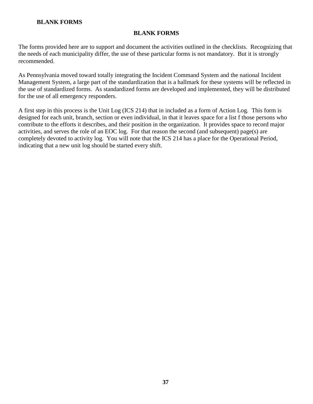### **BLANK FORMS**

The forms provided here are to support and document the activities outlined in the checklists. Recognizing that the needs of each municipality differ, the use of these particular forms is not mandatory. But it is strongly recommended.

As Pennsylvania moved toward totally integrating the Incident Command System and the national Incident Management System, a large part of the standardization that is a hallmark for these systems will be reflected in the use of standardized forms. As standardized forms are developed and implemented, they will be distributed for the use of all emergency responders.

A first step in this process is the Unit Log (ICS 214) that in included as a form of Action Log. This form is designed for each unit, branch, section or even individual, in that it leaves space for a list f those persons who contribute to the efforts it describes, and their position in the organization. It provides space to record major activities, and serves the role of an EOC log. For that reason the second (and subsequent) page(s) are completely devoted to activity log. You will note that the ICS 214 has a place for the Operational Period, indicating that a new unit log should be started every shift.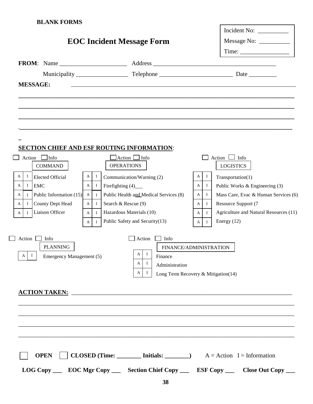|                                 |                                 |                              |                                                                                                                      |                                     |                   | Incident No: $\_\_$                                                                                  |
|---------------------------------|---------------------------------|------------------------------|----------------------------------------------------------------------------------------------------------------------|-------------------------------------|-------------------|------------------------------------------------------------------------------------------------------|
|                                 |                                 |                              | <b>EOC Incident Message Form</b>                                                                                     |                                     |                   | Message No: __________                                                                               |
|                                 |                                 |                              |                                                                                                                      |                                     |                   | Time:                                                                                                |
|                                 |                                 |                              |                                                                                                                      |                                     |                   |                                                                                                      |
|                                 |                                 |                              |                                                                                                                      |                                     |                   |                                                                                                      |
| <b>MESSAGE:</b>                 |                                 |                              | <u> 1980 - Johann Stein, marwolaethau a bhann an t-Amhair an t-Amhair an t-Amhair an t-Amhair an t-Amhair an t-A</u> |                                     |                   |                                                                                                      |
|                                 |                                 |                              |                                                                                                                      |                                     |                   |                                                                                                      |
|                                 |                                 |                              |                                                                                                                      |                                     |                   |                                                                                                      |
|                                 |                                 |                              |                                                                                                                      |                                     |                   |                                                                                                      |
|                                 |                                 |                              |                                                                                                                      |                                     |                   |                                                                                                      |
|                                 |                                 |                              |                                                                                                                      |                                     |                   |                                                                                                      |
|                                 |                                 |                              | <b>SECTION CHIEF AND ESF ROUTING INFORMATION:</b>                                                                    |                                     |                   |                                                                                                      |
|                                 | Action $\Box$ Info              |                              | $\Box$ Action $\Box$ Info                                                                                            |                                     |                   | Action $\Box$ Info                                                                                   |
|                                 | <b>COMMAND</b>                  |                              | <b>OPERATIONS</b>                                                                                                    |                                     |                   | <b>LOGISTICS</b>                                                                                     |
| A<br>$\bf{I}$                   | Elected Official                | $\bf{I}$<br>$\mathbf{A}$     | Communication/Warning (2)                                                                                            |                                     | $\mathbf{I}$<br>A | Transportation(1)                                                                                    |
| $\mathbf{I}$<br>A<br><b>EMC</b> |                                 | A<br>$\mathbf{I}$            | Firefighting (4)_                                                                                                    |                                     | $\;$ I<br>A       | Public Works & Engineering (3)                                                                       |
| $\mathbf{I}$<br>A               | Public Information (15)         | $\mathbf{A}$<br>$\mathbf{I}$ | Public Health and Medical Services (8)                                                                               |                                     | $\;$ I<br>A       | Mass Care, Evac & Human Services (6)                                                                 |
| A                               | I County Dept Head              | A<br>$\mathbf{I}$            | Search & Rescue (9)                                                                                                  |                                     | $\;$ I<br>A       | Resource Support (7                                                                                  |
| A                               | I Liaison Officer               | $\mathbf{A}$<br>$\mathbf{I}$ | Hazardous Materials (10)                                                                                             |                                     | $\mathbf{I}$<br>A | Agriculture and Natural Resources (11)                                                               |
|                                 |                                 | $\mathbf{I}$<br>$\mathbf{A}$ | Public Safety and Security(13)                                                                                       |                                     | $\mathbf{I}$<br>A | Energy $(12)$                                                                                        |
| Action $\Box$                   | Info                            |                              |                                                                                                                      | Action $\Box$ Info                  |                   |                                                                                                      |
|                                 | <b>PLANNING</b>                 |                              |                                                                                                                      | FINANCE/ADMINISTRATION              |                   |                                                                                                      |
| $\vert I \vert$<br>$\mathbf A$  | <b>Emergency Management (5)</b> |                              | $\blacksquare$<br>$\mathbf{A}$                                                                                       | Finance                             |                   |                                                                                                      |
|                                 |                                 |                              | и.<br>A                                                                                                              | Administration                      |                   |                                                                                                      |
|                                 |                                 |                              | A<br>П.                                                                                                              | Long Term Recovery & Mitigation(14) |                   |                                                                                                      |
|                                 |                                 |                              |                                                                                                                      |                                     |                   |                                                                                                      |
|                                 |                                 |                              |                                                                                                                      |                                     |                   |                                                                                                      |
|                                 |                                 |                              |                                                                                                                      |                                     |                   |                                                                                                      |
|                                 |                                 |                              |                                                                                                                      |                                     |                   |                                                                                                      |
|                                 |                                 |                              |                                                                                                                      |                                     |                   |                                                                                                      |
|                                 |                                 |                              |                                                                                                                      |                                     |                   |                                                                                                      |
|                                 |                                 |                              |                                                                                                                      |                                     |                   |                                                                                                      |
|                                 |                                 |                              |                                                                                                                      |                                     |                   |                                                                                                      |
|                                 | <b>OPEN</b>                     |                              |                                                                                                                      |                                     |                   | <b>CLOSED</b> (Time: $\_\_\_\_\_\_\$ Initials: $\_\_\_\_\_\_\_\_\$ A = Action I = Information        |
|                                 |                                 |                              |                                                                                                                      |                                     |                   | LOG Copy ______ EOC Mgr Copy _______ Section Chief Copy _______ ESF Copy _______ Close Out Copy ____ |
|                                 |                                 |                              |                                                                                                                      |                                     |                   |                                                                                                      |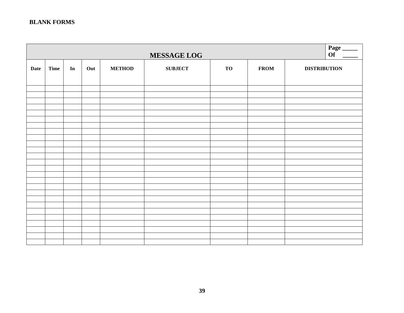|             | MESSAGE LOG |    |     |               |                |           |             |                     |  |
|-------------|-------------|----|-----|---------------|----------------|-----------|-------------|---------------------|--|
| <b>Date</b> | <b>Time</b> | In | Out | <b>METHOD</b> | <b>SUBJECT</b> | <b>TO</b> | <b>FROM</b> | <b>DISTRIBUTION</b> |  |
|             |             |    |     |               |                |           |             |                     |  |
|             |             |    |     |               |                |           |             |                     |  |
|             |             |    |     |               |                |           |             |                     |  |
|             |             |    |     |               |                |           |             |                     |  |
|             |             |    |     |               |                |           |             |                     |  |
|             |             |    |     |               |                |           |             |                     |  |
|             |             |    |     |               |                |           |             |                     |  |
|             |             |    |     |               |                |           |             |                     |  |
|             |             |    |     |               |                |           |             |                     |  |
|             |             |    |     |               |                |           |             |                     |  |
|             |             |    |     |               |                |           |             |                     |  |
|             |             |    |     |               |                |           |             |                     |  |
|             |             |    |     |               |                |           |             |                     |  |
|             |             |    |     |               |                |           |             |                     |  |
|             |             |    |     |               |                |           |             |                     |  |
|             |             |    |     |               |                |           |             |                     |  |
|             |             |    |     |               |                |           |             |                     |  |
|             |             |    |     |               |                |           |             |                     |  |
|             |             |    |     |               |                |           |             |                     |  |
|             |             |    |     |               |                |           |             |                     |  |
|             |             |    |     |               |                |           |             |                     |  |
|             |             |    |     |               |                |           |             |                     |  |
|             |             |    |     |               |                |           |             |                     |  |
|             |             |    |     |               |                |           |             |                     |  |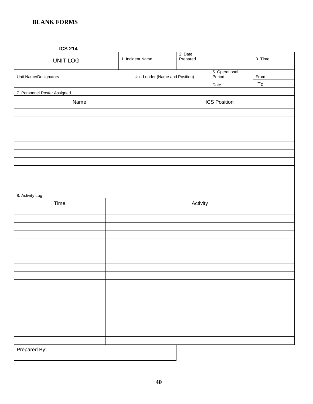#### **ICS 214**

| UNIT LOG                     |  | 1. Incident Name                |  | 2. Date<br>Prepared |                          | 3. Time                   |
|------------------------------|--|---------------------------------|--|---------------------|--------------------------|---------------------------|
| Unit Name/Designators        |  | Unit Leader (Name and Position) |  |                     | 5. Operational<br>Period | From                      |
| 7. Personnel Roster Assigned |  |                                 |  |                     | Date                     | $\underline{\mathsf{To}}$ |
| Name                         |  |                                 |  |                     | <b>ICS Position</b>      |                           |
|                              |  |                                 |  |                     |                          |                           |
|                              |  |                                 |  |                     |                          |                           |
|                              |  |                                 |  |                     |                          |                           |
|                              |  |                                 |  |                     |                          |                           |
|                              |  |                                 |  |                     |                          |                           |
|                              |  |                                 |  |                     |                          |                           |
|                              |  |                                 |  |                     |                          |                           |
|                              |  |                                 |  |                     |                          |                           |
|                              |  |                                 |  |                     |                          |                           |
| 8. Activity Log              |  |                                 |  |                     |                          |                           |
| Time                         |  |                                 |  | Activity            |                          |                           |
|                              |  |                                 |  |                     |                          |                           |
|                              |  |                                 |  |                     |                          |                           |
|                              |  |                                 |  |                     |                          |                           |
|                              |  |                                 |  |                     |                          |                           |
|                              |  |                                 |  |                     |                          |                           |
|                              |  |                                 |  |                     |                          |                           |
|                              |  |                                 |  |                     |                          |                           |
|                              |  |                                 |  |                     |                          |                           |
|                              |  |                                 |  |                     |                          |                           |
|                              |  |                                 |  |                     |                          |                           |
|                              |  |                                 |  |                     |                          |                           |
|                              |  |                                 |  |                     |                          |                           |
|                              |  |                                 |  |                     |                          |                           |
|                              |  |                                 |  |                     |                          |                           |
|                              |  |                                 |  |                     |                          |                           |
| Prepared By:                 |  |                                 |  |                     |                          |                           |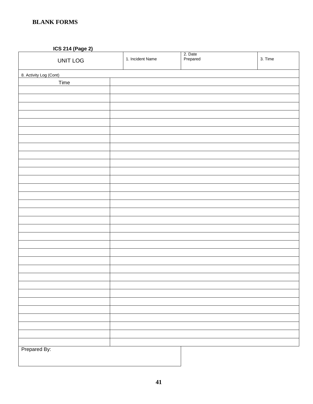**ICS 214 (Page 2)**

| $\frac{1}{2}$<br>UNIT LOG | 1. Incident Name | 2. Date<br>Prepared | 3. Time |
|---------------------------|------------------|---------------------|---------|
| 8. Activity Log (Cont)    |                  |                     |         |
| Time                      |                  |                     |         |
|                           |                  |                     |         |
|                           |                  |                     |         |
|                           |                  |                     |         |
|                           |                  |                     |         |
|                           |                  |                     |         |
|                           |                  |                     |         |
|                           |                  |                     |         |
|                           |                  |                     |         |
|                           |                  |                     |         |
|                           |                  |                     |         |
|                           |                  |                     |         |
|                           |                  |                     |         |
|                           |                  |                     |         |
|                           |                  |                     |         |
|                           |                  |                     |         |
|                           |                  |                     |         |
|                           |                  |                     |         |
|                           |                  |                     |         |
|                           |                  |                     |         |
|                           |                  |                     |         |
|                           |                  |                     |         |
|                           |                  |                     |         |
|                           |                  |                     |         |
|                           |                  |                     |         |
|                           |                  |                     |         |
|                           |                  |                     |         |
|                           |                  |                     |         |
|                           |                  |                     |         |
|                           |                  |                     |         |
|                           |                  |                     |         |
|                           |                  |                     |         |
|                           |                  |                     |         |
| Prepared By:              |                  |                     |         |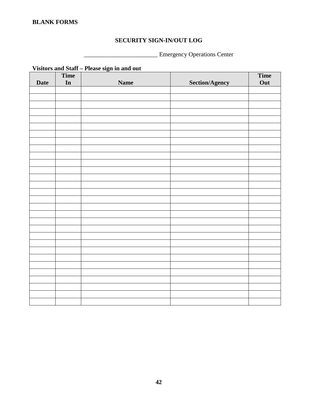## **SECURITY SIGN-IN/OUT LOG**

\_\_\_\_\_\_\_\_\_\_\_\_\_\_\_\_\_\_\_\_\_\_\_\_ Emergency Operations Center

|             |               | visitors and Start – I rease sign in and out |                       |      |
|-------------|---------------|----------------------------------------------|-----------------------|------|
|             | Time          |                                              |                       | Time |
| <b>Date</b> | $\mathbf{In}$ | <b>Name</b>                                  | <b>Section/Agency</b> | Out  |
|             |               |                                              |                       |      |
|             |               |                                              |                       |      |
|             |               |                                              |                       |      |
|             |               |                                              |                       |      |
|             |               |                                              |                       |      |
|             |               |                                              |                       |      |
|             |               |                                              |                       |      |
|             |               |                                              |                       |      |
|             |               |                                              |                       |      |
|             |               |                                              |                       |      |
|             |               |                                              |                       |      |
|             |               |                                              |                       |      |
|             |               |                                              |                       |      |
|             |               |                                              |                       |      |
|             |               |                                              |                       |      |
|             |               |                                              |                       |      |
|             |               |                                              |                       |      |
|             |               |                                              |                       |      |
|             |               |                                              |                       |      |
|             |               |                                              |                       |      |
|             |               |                                              |                       |      |
|             |               |                                              |                       |      |
|             |               |                                              |                       |      |
|             |               |                                              |                       |      |
|             |               |                                              |                       |      |
|             |               |                                              |                       |      |
|             |               |                                              |                       |      |
|             |               |                                              |                       |      |
|             |               |                                              |                       |      |
|             |               |                                              |                       |      |
|             |               |                                              |                       |      |
|             |               |                                              |                       |      |

**Visitors and Staff – Please sign in and out**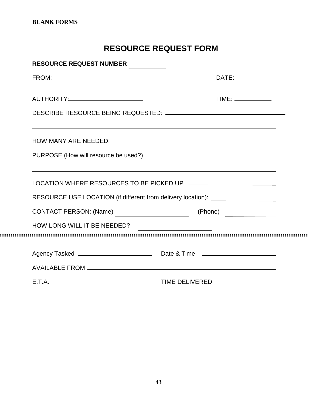## **RESOURCE REQUEST FORM**

| <b>RESOURCE REQUEST NUMBER</b>                                                   |                                                                                                                      |
|----------------------------------------------------------------------------------|----------------------------------------------------------------------------------------------------------------------|
| FROM:<br><u> 1989 - Johann Barn, mars ann an t-Amhair ann an t-A</u>             | DATE:                                                                                                                |
| AUTHORITY:________________________                                               |                                                                                                                      |
|                                                                                  |                                                                                                                      |
| HOW MANY ARE NEEDED: Network and the Many ARE NEEDED:                            | <u> 1989 - Andrea Santa Andrea Andrea Andrea Andrea Andrea Andrea Andrea Andrea Andrea Andrea Andrea Andrea Andr</u> |
| PURPOSE (How will resource be used?)                                             |                                                                                                                      |
|                                                                                  |                                                                                                                      |
| RESOURCE USE LOCATION (if different from delivery location): ___________________ |                                                                                                                      |
| CONTACT PERSON: (Name)                                                           | (Phone)                                                                                                              |
| HOW LONG WILL IT BE NEEDED?                                                      |                                                                                                                      |
|                                                                                  |                                                                                                                      |
|                                                                                  |                                                                                                                      |
|                                                                                  |                                                                                                                      |
| E.T.A.                                                                           | <b>TIME DELIVERED</b>                                                                                                |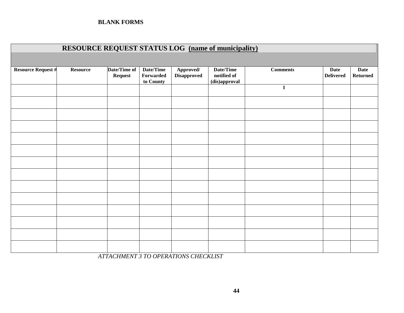|                           | <b>RESOURCE REQUEST STATUS LOG</b> (name of municipality) |                                |                                     |                                 |                                           |                 |                                 |                                |
|---------------------------|-----------------------------------------------------------|--------------------------------|-------------------------------------|---------------------------------|-------------------------------------------|-----------------|---------------------------------|--------------------------------|
|                           |                                                           |                                |                                     |                                 |                                           |                 |                                 |                                |
| <b>Resource Request #</b> | <b>Resource</b>                                           | Date/Time of<br><b>Request</b> | Date/Time<br>Forwarded<br>to County | Approved/<br><b>Disapproved</b> | Date/Time<br>notified of<br>(dis)approval | <b>Comments</b> | <b>Date</b><br><b>Delivered</b> | <b>Date</b><br><b>Returned</b> |
|                           |                                                           |                                |                                     |                                 |                                           | $\mathbf{1}$    |                                 |                                |
|                           |                                                           |                                |                                     |                                 |                                           |                 |                                 |                                |
|                           |                                                           |                                |                                     |                                 |                                           |                 |                                 |                                |
|                           |                                                           |                                |                                     |                                 |                                           |                 |                                 |                                |
|                           |                                                           |                                |                                     |                                 |                                           |                 |                                 |                                |
|                           |                                                           |                                |                                     |                                 |                                           |                 |                                 |                                |
|                           |                                                           |                                |                                     |                                 |                                           |                 |                                 |                                |
|                           |                                                           |                                |                                     |                                 |                                           |                 |                                 |                                |
|                           |                                                           |                                |                                     |                                 |                                           |                 |                                 |                                |
|                           |                                                           |                                |                                     |                                 |                                           |                 |                                 |                                |
|                           |                                                           |                                |                                     |                                 |                                           |                 |                                 |                                |
|                           |                                                           |                                |                                     |                                 |                                           |                 |                                 |                                |
|                           |                                                           |                                |                                     |                                 |                                           |                 |                                 |                                |
|                           |                                                           |                                |                                     |                                 |                                           |                 |                                 |                                |

*ATTACHMENT 3 TO OPERATIONS CHECKLIST*